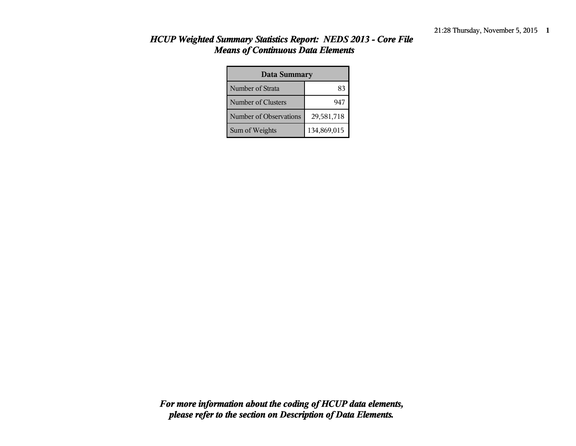| <b>Data Summary</b>    |             |  |  |  |
|------------------------|-------------|--|--|--|
| Number of Strata       | 83          |  |  |  |
| Number of Clusters     | 947         |  |  |  |
| Number of Observations | 29,581,718  |  |  |  |
| Sum of Weights         | 134,869,015 |  |  |  |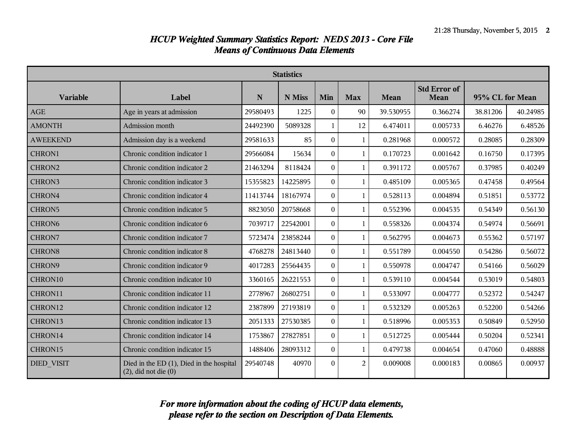| <b>Statistics</b>  |                                                                       |          |          |                  |                |           |                             |                 |          |
|--------------------|-----------------------------------------------------------------------|----------|----------|------------------|----------------|-----------|-----------------------------|-----------------|----------|
| <b>Variable</b>    | Label                                                                 | N        | N Miss   | Min              | <b>Max</b>     | Mean      | <b>Std Error of</b><br>Mean | 95% CL for Mean |          |
| <b>AGE</b>         | Age in years at admission                                             | 29580493 | 1225     | $\theta$         | 90             | 39.530955 | 0.366274                    | 38.81206        | 40.24985 |
| <b>AMONTH</b>      | Admission month                                                       | 24492390 | 5089328  | $\mathbf{1}$     | 12             | 6.474011  | 0.005733                    | 6.46276         | 6.48526  |
| <b>AWEEKEND</b>    | Admission day is a weekend                                            | 29581633 | 85       | $\overline{0}$   | $\mathbf{1}$   | 0.281968  | 0.000572                    | 0.28085         | 0.28309  |
| CHRON1             | Chronic condition indicator 1                                         | 29566084 | 15634    | $\theta$         | 1              | 0.170723  | 0.001642                    | 0.16750         | 0.17395  |
| CHRON2             | Chronic condition indicator 2                                         | 21463294 | 8118424  | $\Omega$         | $\mathbf{1}$   | 0.391172  | 0.005767                    | 0.37985         | 0.40249  |
| CHRON3             | Chronic condition indicator 3                                         | 15355823 | 14225895 | $\Omega$         | $\mathbf{1}$   | 0.485109  | 0.005365                    | 0.47458         | 0.49564  |
| CHRON4             | Chronic condition indicator 4                                         | 11413744 | 18167974 | $\theta$         | 1              | 0.528113  | 0.004894                    | 0.51851         | 0.53772  |
| CHRON5             | Chronic condition indicator 5                                         | 8823050  | 20758668 | $\boldsymbol{0}$ | 1              | 0.552396  | 0.004535                    | 0.54349         | 0.56130  |
| CHRON <sub>6</sub> | Chronic condition indicator 6                                         | 7039717  | 22542001 | $\overline{0}$   | $\mathbf{1}$   | 0.558326  | 0.004374                    | 0.54974         | 0.56691  |
| CHRON7             | Chronic condition indicator 7                                         | 5723474  | 23858244 | $\theta$         | 1              | 0.562795  | 0.004673                    | 0.55362         | 0.57197  |
| <b>CHRON8</b>      | Chronic condition indicator 8                                         | 4768278  | 24813440 | $\Omega$         | 1              | 0.551789  | 0.004550                    | 0.54286         | 0.56072  |
| CHRON9             | Chronic condition indicator 9                                         | 4017283  | 25564435 | $\Omega$         | $\mathbf{1}$   | 0.550978  | 0.004747                    | 0.54166         | 0.56029  |
| CHRON10            | Chronic condition indicator 10                                        | 3360165  | 26221553 | $\theta$         | 1              | 0.539110  | 0.004544                    | 0.53019         | 0.54803  |
| CHRON11            | Chronic condition indicator 11                                        | 2778967  | 26802751 | $\theta$         | $\mathbf{1}$   | 0.533097  | 0.004777                    | 0.52372         | 0.54247  |
| CHRON12            | Chronic condition indicator 12                                        | 2387899  | 27193819 | $\Omega$         | $\mathbf{1}$   | 0.532329  | 0.005263                    | 0.52200         | 0.54266  |
| CHRON13            | Chronic condition indicator 13                                        | 2051333  | 27530385 | $\theta$         | 1              | 0.518996  | 0.005353                    | 0.50849         | 0.52950  |
| CHRON14            | Chronic condition indicator 14                                        | 1753867  | 27827851 | $\boldsymbol{0}$ | $\mathbf{1}$   | 0.512725  | 0.005444                    | 0.50204         | 0.52341  |
| CHRON15            | Chronic condition indicator 15                                        | 1488406  | 28093312 | $\theta$         | $\mathbf{1}$   | 0.479738  | 0.004654                    | 0.47060         | 0.48888  |
| <b>DIED VISIT</b>  | Died in the ED (1), Died in the hospital<br>$(2)$ , did not die $(0)$ | 29540748 | 40970    | $\theta$         | $\overline{2}$ | 0.009008  | 0.000183                    | 0.00865         | 0.00937  |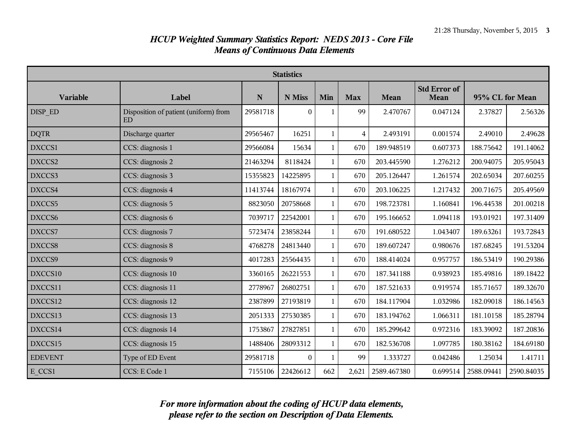| <b>Statistics</b> |                                              |          |              |              |                |             |                             |                 |            |
|-------------------|----------------------------------------------|----------|--------------|--------------|----------------|-------------|-----------------------------|-----------------|------------|
| <b>Variable</b>   | Label                                        | N        | N Miss       | Min          | <b>Max</b>     | Mean        | <b>Std Error of</b><br>Mean | 95% CL for Mean |            |
| DISP ED           | Disposition of patient (uniform) from<br>ED. | 29581718 | $\theta$     | 1            | 99             | 2.470767    | 0.047124                    | 2.37827         | 2.56326    |
| <b>DQTR</b>       | Discharge quarter                            | 29565467 | 16251        | $\mathbf{1}$ | $\overline{4}$ | 2.493191    | 0.001574                    | 2.49010         | 2.49628    |
| DXCCS1            | CCS: diagnosis 1                             | 29566084 | 15634        | $\mathbf{1}$ | 670            | 189.948519  | 0.607373                    | 188.75642       | 191.14062  |
| DXCCS2            | CCS: diagnosis 2                             | 21463294 | 8118424      | 1            | 670            | 203.445590  | 1.276212                    | 200.94075       | 205.95043  |
| DXCCS3            | CCS: diagnosis 3                             | 15355823 | 14225895     | $\mathbf{1}$ | 670            | 205.126447  | 1.261574                    | 202.65034       | 207.60255  |
| DXCCS4            | CCS: diagnosis 4                             | 11413744 | 18167974     | $\mathbf{1}$ | 670            | 203.106225  | 1.217432                    | 200.71675       | 205.49569  |
| DXCCS5            | CCS: diagnosis 5                             | 8823050  | 20758668     | 1            | 670            | 198.723781  | 1.160841                    | 196.44538       | 201.00218  |
| DXCCS6            | CCS: diagnosis 6                             | 7039717  | 22542001     | $\mathbf{1}$ | 670            | 195.166652  | 1.094118                    | 193.01921       | 197.31409  |
| DXCCS7            | CCS: diagnosis 7                             | 5723474  | 23858244     | $\mathbf{1}$ | 670            | 191.680522  | 1.043407                    | 189.63261       | 193.72843  |
| DXCCS8            | CCS: diagnosis 8                             | 4768278  | 24813440     | 1            | 670            | 189.607247  | 0.980676                    | 187.68245       | 191.53204  |
| DXCCS9            | CCS: diagnosis 9                             | 4017283  | 25564435     | $\mathbf{1}$ | 670            | 188.414024  | 0.957757                    | 186.53419       | 190.29386  |
| DXCCS10           | CCS: diagnosis 10                            | 3360165  | 26221553     | $\mathbf{1}$ | 670            | 187.341188  | 0.938923                    | 185.49816       | 189.18422  |
| DXCCS11           | CCS: diagnosis 11                            | 2778967  | 26802751     | 1            | 670            | 187.521633  | 0.919574                    | 185.71657       | 189.32670  |
| DXCCS12           | CCS: diagnosis 12                            | 2387899  | 27193819     | $\mathbf{1}$ | 670            | 184.117904  | 1.032986                    | 182.09018       | 186.14563  |
| DXCCS13           | CCS: diagnosis 13                            | 2051333  | 27530385     | $\mathbf{1}$ | 670            | 183.194762  | 1.066311                    | 181.10158       | 185.28794  |
| DXCCS14           | CCS: diagnosis 14                            | 1753867  | 27827851     | 1            | 670            | 185.299642  | 0.972316                    | 183.39092       | 187.20836  |
| DXCCS15           | CCS: diagnosis 15                            | 1488406  | 28093312     | $\mathbf{1}$ | 670            | 182.536708  | 1.097785                    | 180.38162       | 184.69180  |
| <b>EDEVENT</b>    | Type of ED Event                             | 29581718 | $\mathbf{0}$ | 1            | 99             | 1.333727    | 0.042486                    | 1.25034         | 1.41711    |
| E CCS1            | CCS: E Code 1                                | 7155106  | 22426612     | 662          | 2,621          | 2589.467380 | 0.699514                    | 2588.09441      | 2590.84035 |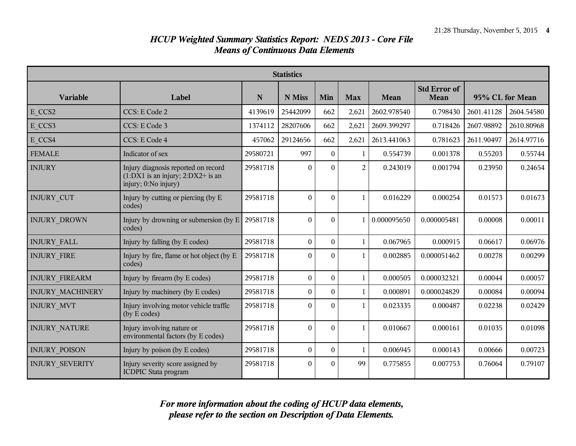| <b>Statistics</b>       |                                                                                                      |          |                  |                  |                |             |                             |                 |            |
|-------------------------|------------------------------------------------------------------------------------------------------|----------|------------------|------------------|----------------|-------------|-----------------------------|-----------------|------------|
| <b>Variable</b>         | Label                                                                                                | N        | N Miss           | Min              | <b>Max</b>     | Mean        | <b>Std Error of</b><br>Mean | 95% CL for Mean |            |
| E CCS2                  | CCS: E Code 2                                                                                        | 4139619  | 25442099         | 662              | 2,621          | 2602.978540 | 0.798430                    | 2601.41128      | 2604.54580 |
| E CCS3                  | CCS: E Code 3                                                                                        | 1374112  | 28207606         | 662              | 2,621          | 2609.399297 | 0.718426                    | 2607.98892      | 2610.80968 |
| E CCS4                  | CCS: E Code 4                                                                                        | 457062   | 29124656         | 662              | 2,621          | 2613.441063 | 0.781623                    | 2611.90497      | 2614.97716 |
| <b>FEMALE</b>           | Indicator of sex                                                                                     | 29580721 | 997              | $\theta$         | 1              | 0.554739    | 0.001378                    | 0.55203         | 0.55744    |
| <b>INJURY</b>           | Injury diagnosis reported on record<br>$(1:DX1$ is an injury; $2:DX2+$ is an<br>injury; 0:No injury) | 29581718 | $\theta$         | $\theta$         | $\overline{2}$ | 0.243019    | 0.001794                    | 0.23950         | 0.24654    |
| <b>INJURY CUT</b>       | Injury by cutting or piercing (by E<br>codes)                                                        | 29581718 | $\Omega$         | $\Omega$         | $\mathbf{1}$   | 0.016229    | 0.000254                    | 0.01573         | 0.01673    |
| <b>INJURY DROWN</b>     | Injury by drowning or submersion (by $E$ )<br>codes)                                                 | 29581718 | $\mathbf{0}$     | $\theta$         | $\mathbf{1}$   | 0.000095650 | 0.000005481                 | 0.00008         | 0.00011    |
| <b>INJURY FALL</b>      | Injury by falling (by E codes)                                                                       | 29581718 | $\mathbf{0}$     | $\theta$         | 1              | 0.067965    | 0.000915                    | 0.06617         | 0.06976    |
| <b>INJURY FIRE</b>      | Injury by fire, flame or hot object (by E<br>codes)                                                  | 29581718 | $\theta$         | $\theta$         | 1              | 0.002885    | 0.000051462                 | 0.00278         | 0.00299    |
| <b>INJURY FIREARM</b>   | Injury by firearm (by E codes)                                                                       | 29581718 | $\mathbf{0}$     | $\theta$         | $\mathbf{1}$   | 0.000505    | 0.000032321                 | 0.00044         | 0.00057    |
| <b>INJURY MACHINERY</b> | Injury by machinery (by E codes)                                                                     | 29581718 | $\theta$         | $\theta$         | 1              | 0.000891    | 0.000024829                 | 0.00084         | 0.00094    |
| <b>INJURY MVT</b>       | Injury involving motor vehicle traffic<br>(by E codes)                                               | 29581718 | $\theta$         | $\theta$         | 1              | 0.023335    | 0.000487                    | 0.02238         | 0.02429    |
| <b>INJURY NATURE</b>    | Injury involving nature or<br>environmental factors (by E codes)                                     | 29581718 | $\mathbf{0}$     | $\theta$         | $\mathbf{1}$   | 0.010667    | 0.000161                    | 0.01035         | 0.01098    |
| <b>INJURY POISON</b>    | Injury by poison (by E codes)                                                                        | 29581718 | $\boldsymbol{0}$ | $\boldsymbol{0}$ | 1              | 0.006945    | 0.000143                    | 0.00666         | 0.00723    |
| <b>INJURY SEVERITY</b>  | Injury severity score assigned by<br><b>ICDPIC Stata program</b>                                     | 29581718 | $\theta$         | $\Omega$         | 99             | 0.775855    | 0.007753                    | 0.76064         | 0.79107    |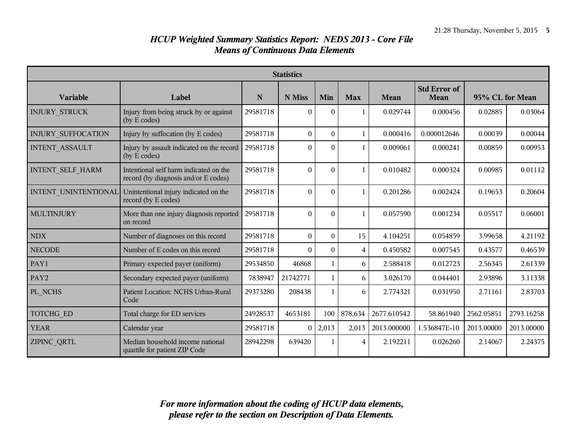| <b>Statistics</b>         |                                                                                |          |              |                |              |             |                                    |                 |            |
|---------------------------|--------------------------------------------------------------------------------|----------|--------------|----------------|--------------|-------------|------------------------------------|-----------------|------------|
| Variable                  | Label                                                                          | N        | N Miss       | Min            | <b>Max</b>   | Mean        | <b>Std Error of</b><br><b>Mean</b> | 95% CL for Mean |            |
| <b>INJURY STRUCK</b>      | Injury from being struck by or against<br>(by E codes)                         | 29581718 | $\Omega$     | $\theta$       | 1            | 0.029744    | 0.000456                           | 0.02885         | 0.03064    |
| <b>INJURY SUFFOCATION</b> | Injury by suffocation (by E codes)                                             | 29581718 | $\mathbf{0}$ | $\mathbf{0}$   | $\mathbf{1}$ | 0.000416    | 0.000012646                        | 0.00039         | 0.00044    |
| <b>INTENT ASSAULT</b>     | Injury by assault indicated on the record<br>(by E codes)                      | 29581718 | $\theta$     | $\theta$       | 1            | 0.009061    | 0.000241                           | 0.00859         | 0.00953    |
| <b>INTENT SELF HARM</b>   | Intentional self harm indicated on the<br>record (by diagnosis and/or E codes) | 29581718 | $\theta$     | $\Omega$       | $\mathbf{1}$ | 0.010482    | 0.000324                           | 0.00985         | 0.01112    |
| INTENT UNINTENTIONAL      | Unintentional injury indicated on the<br>record (by E codes)                   | 29581718 | $\theta$     | $\overline{0}$ | $\mathbf{1}$ | 0.201286    | 0.002424                           | 0.19653         | 0.20604    |
| <b>MULTINJURY</b>         | More than one injury diagnosis reported<br>on record                           | 29581718 | $\Omega$     | $\theta$       | $\mathbf{1}$ | 0.057590    | 0.001234                           | 0.05517         | 0.06001    |
| <b>NDX</b>                | Number of diagnoses on this record                                             | 29581718 | $\theta$     | $\Omega$       | 15           | 4.104251    | 0.054859                           | 3.99658         | 4.21192    |
| <b>NECODE</b>             | Number of E codes on this record                                               | 29581718 | $\theta$     | $\theta$       | 4            | 0.450582    | 0.007545                           | 0.43577         | 0.46539    |
| PAY1                      | Primary expected payer (uniform)                                               | 29534850 | 46868        | 1              | 6            | 2.588418    | 0.012723                           | 2.56345         | 2.61339    |
| PAY <sub>2</sub>          | Secondary expected payer (uniform)                                             | 7838947  | 21742771     | 1              | 6            | 3.026170    | 0.044401                           | 2.93896         | 3.11338    |
| PL NCHS                   | Patient Location: NCHS Urban-Rural<br>Code                                     | 29373280 | 208438       | $\mathbf{1}$   | 6            | 2.774321    | 0.031950                           | 2.71161         | 2.83703    |
| TOTCHG ED                 | Total charge for ED services                                                   | 24928537 | 4653181      | 100            | 878,634      | 2677.610542 | 58.861940                          | 2562.05851      | 2793.16258 |
| <b>YEAR</b>               | Calendar year                                                                  | 29581718 | $\theta$     | 2,013          | 2,013        | 2013.000000 | 1.536847E-10                       | 2013.00000      | 2013.00000 |
| ZIPINC_QRTL               | Median household income national<br>quartile for patient ZIP Code              | 28942298 | 639420       | 1              | 4            | 2.192211    | 0.026260                           | 2.14067         | 2.24375    |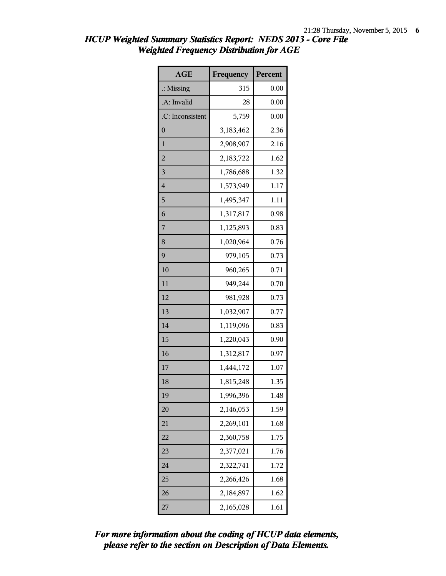| <b>AGE</b>              | Frequency | Percent |
|-------------------------|-----------|---------|
| $\therefore$ Missing    | 315       | 0.00    |
| .A: Invalid             | 28        | 0.00    |
| .C: Inconsistent        | 5,759     | 0.00    |
| $\boldsymbol{0}$        | 3,183,462 | 2.36    |
| 1                       | 2,908,907 | 2.16    |
| $\overline{c}$          | 2,183,722 | 1.62    |
| $\overline{\mathbf{3}}$ | 1,786,688 | 1.32    |
| $\overline{4}$          | 1,573,949 | 1.17    |
| 5                       | 1,495,347 | 1.11    |
| 6                       | 1,317,817 | 0.98    |
| 7                       | 1,125,893 | 0.83    |
| 8                       | 1,020,964 | 0.76    |
| 9                       | 979,105   | 0.73    |
| 10                      | 960,265   | 0.71    |
| 11                      | 949,244   | 0.70    |
| 12                      | 981,928   | 0.73    |
| 13                      | 1,032,907 | 0.77    |
| 14                      | 1,119,096 | 0.83    |
| 15                      | 1,220,043 | 0.90    |
| 16                      | 1,312,817 | 0.97    |
| 17                      | 1,444,172 | 1.07    |
| 18                      | 1,815,248 | 1.35    |
| 19                      | 1,996,396 | 1.48    |
| 20                      | 2,146,053 | 1.59    |
| 21                      | 2,269,101 | 1.68    |
| 22                      | 2,360,758 | 1.75    |
| 23                      | 2,377,021 | 1.76    |
| 24                      | 2,322,741 | 1.72    |
| 25                      | 2,266,426 | 1.68    |
| 26                      | 2,184,897 | 1.62    |
| 27                      | 2,165,028 | 1.61    |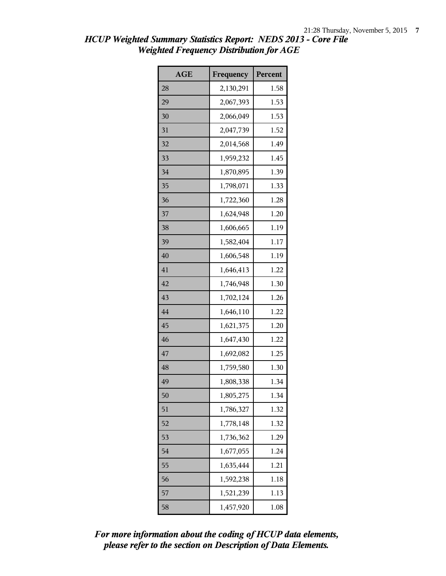| <b>AGE</b> | Frequency | Percent |
|------------|-----------|---------|
| 28         | 2,130,291 | 1.58    |
| 29         | 2,067,393 | 1.53    |
| 30         | 2,066,049 | 1.53    |
| 31         | 2,047,739 | 1.52    |
| 32         | 2,014,568 | 1.49    |
| 33         | 1,959,232 | 1.45    |
| 34         | 1,870,895 | 1.39    |
| 35         | 1,798,071 | 1.33    |
| 36         | 1,722,360 | 1.28    |
| 37         | 1,624,948 | 1.20    |
| 38         | 1,606,665 | 1.19    |
| 39         | 1,582,404 | 1.17    |
| 40         | 1,606,548 | 1.19    |
| 41         | 1,646,413 | 1.22    |
| 42         | 1,746,948 | 1.30    |
| 43         | 1,702,124 | 1.26    |
| 44         | 1,646,110 | 1.22    |
| 45         | 1,621,375 | 1.20    |
| 46         | 1,647,430 | 1.22    |
| 47         | 1,692,082 | 1.25    |
| 48         | 1,759,580 | 1.30    |
| 49         | 1,808,338 | 1.34    |
| 50         | 1,805,275 | 1.34    |
| 51         | 1,786,327 | 1.32    |
| 52         | 1,778,148 | 1.32    |
| 53         | 1,736,362 | 1.29    |
| 54         | 1,677,055 | 1.24    |
| 55         | 1,635,444 | 1.21    |
| 56         | 1,592,238 | 1.18    |
| 57         | 1,521,239 | 1.13    |
| 58         | 1,457,920 | 1.08    |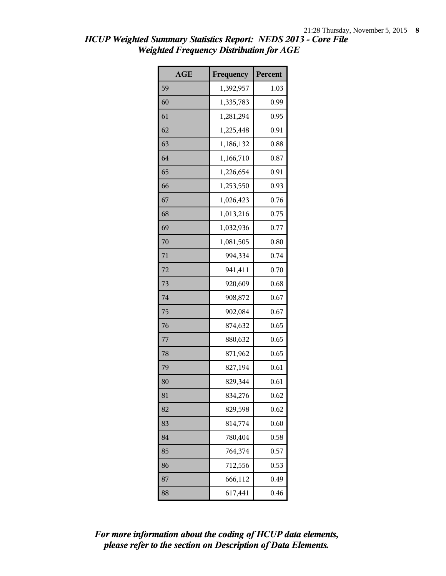| <b>AGE</b> | Frequency | Percent |
|------------|-----------|---------|
| 59         | 1,392,957 | 1.03    |
| 60         | 1,335,783 | 0.99    |
| 61         | 1,281,294 | 0.95    |
| 62         | 1,225,448 | 0.91    |
| 63         | 1,186,132 | 0.88    |
| 64         | 1,166,710 | 0.87    |
| 65         | 1,226,654 | 0.91    |
| 66         | 1,253,550 | 0.93    |
| 67         | 1,026,423 | 0.76    |
| 68         | 1,013,216 | 0.75    |
| 69         | 1,032,936 | 0.77    |
| 70         | 1,081,505 | 0.80    |
| 71         | 994,334   | 0.74    |
| 72         | 941,411   | 0.70    |
| 73         | 920,609   | 0.68    |
| 74         | 908,872   | 0.67    |
| 75         | 902,084   | 0.67    |
| 76         | 874,632   | 0.65    |
| 77         | 880,632   | 0.65    |
| 78         | 871,962   | 0.65    |
| 79         | 827,194   | 0.61    |
| 80         | 829,344   | 0.61    |
| 81         | 834,276   | 0.62    |
| 82         | 829,598   | 0.62    |
| 83         | 814,774   | 0.60    |
| 84         | 780,404   | 0.58    |
| 85         | 764,374   | 0.57    |
| 86         | 712,556   | 0.53    |
| 87         | 666,112   | 0.49    |
| 88         | 617,441   | 0.46    |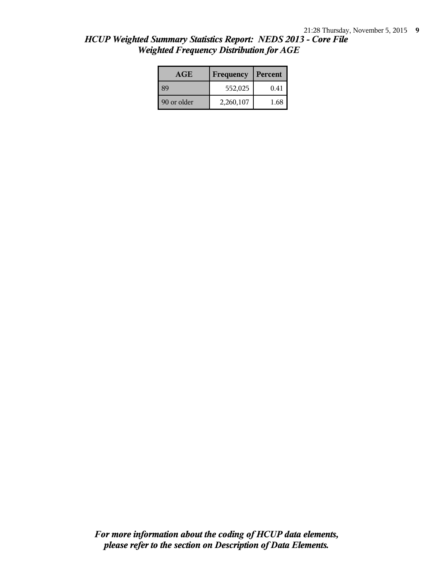| <b>HCUP Weighted Summary Statistics Report: NEDS 2013 - Core File</b> |
|-----------------------------------------------------------------------|
| <b>Weighted Frequency Distribution for AGE</b>                        |
|                                                                       |

| <b>AGE</b>  | Frequency | Percent |
|-------------|-----------|---------|
| 89          | 552,025   | 0.41    |
| 90 or older | 2,260,107 | 1.68    |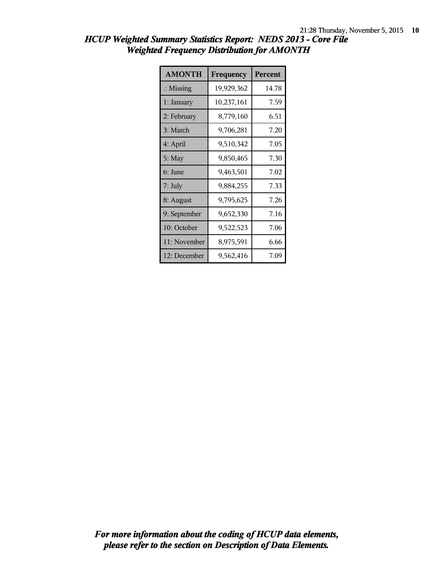| <b>AMONTH</b>        | Frequency  | <b>Percent</b> |
|----------------------|------------|----------------|
| $\therefore$ Missing | 19,929,362 | 14.78          |
| 1: January           | 10,237,161 | 7.59           |
| 2: February          | 8,779,160  | 6.51           |
| 3: March             | 9,706,281  | 7.20           |
| 4: April             | 9,510,342  | 7.05           |
| 5: May               | 9,850,465  | 7.30           |
| 6: June              | 9,463,501  | 7.02           |
| 7: July              | 9,884,255  | 7.33           |
| 8: August            | 9,795,625  | 7.26           |
| 9: September         | 9,652,330  | 7.16           |
| 10: October          | 9,522,523  | 7.06           |
| 11: November         | 8,975,591  | 6.66           |
| 12: December         | 9,562,416  | 7.09           |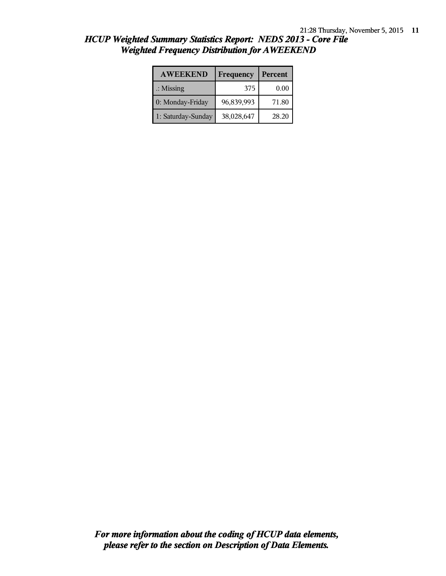| <b>AWEEKEND</b>      | Frequency  | Percent |
|----------------------|------------|---------|
| $\therefore$ Missing | 375        | 0.00    |
| 0: Monday-Friday     | 96,839,993 | 71.80   |
| 1: Saturday-Sunday   | 38,028,647 | 28.20   |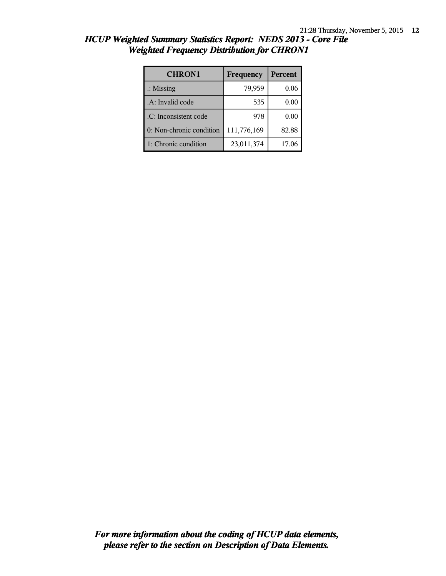| <b>CHRON1</b>            | Frequency   | Percent |
|--------------------------|-------------|---------|
| $\therefore$ Missing     | 79,959      | 0.06    |
| .A: Invalid code         | 535         | 0.00    |
| .C: Inconsistent code    | 978         | 0.00    |
| 0: Non-chronic condition | 111,776,169 | 82.88   |
| 1: Chronic condition     | 23,011,374  | 17.06   |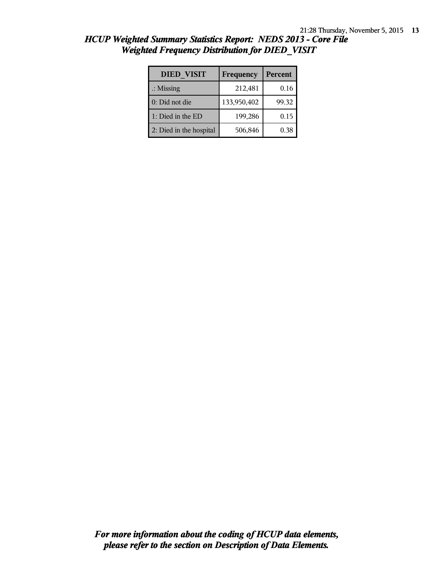| <b>DIED VISIT</b>       | Frequency   | Percent |
|-------------------------|-------------|---------|
| $\therefore$ Missing    | 212,481     | 0.16    |
| 0: Did not die          | 133,950,402 | 99.32   |
| 1: Died in the ED       | 199,286     | 0.15    |
| 2: Died in the hospital | 506,846     | 0.38    |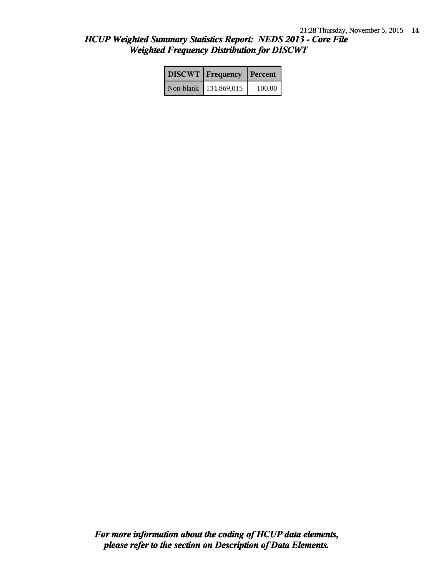| <b>DISCWT</b>   Frequency   Percent |        |
|-------------------------------------|--------|
| Non-blank   134,869,015             | 100.00 |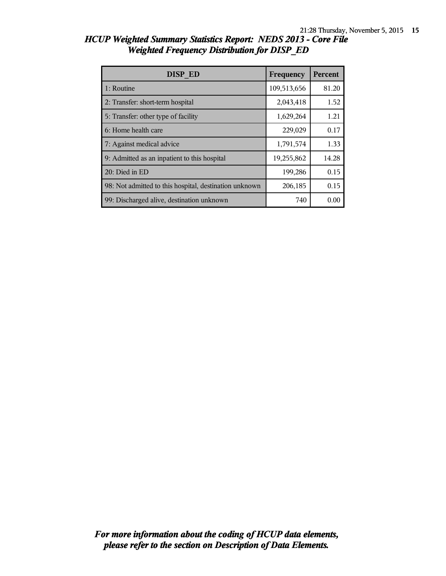| <b>DISP ED</b>                                         | Frequency   | <b>Percent</b> |
|--------------------------------------------------------|-------------|----------------|
| 1: Routine                                             | 109,513,656 | 81.20          |
| 2: Transfer: short-term hospital                       | 2,043,418   | 1.52           |
| 5: Transfer: other type of facility                    | 1,629,264   | 1.21           |
| 6: Home health care                                    | 229,029     | 0.17           |
| 7: Against medical advice                              | 1,791,574   | 1.33           |
| 9: Admitted as an inpatient to this hospital           | 19,255,862  | 14.28          |
| 20: Died in ED                                         | 199,286     | 0.15           |
| 98: Not admitted to this hospital, destination unknown | 206,185     | 0.15           |
| 99: Discharged alive, destination unknown              | 740         | 0.00           |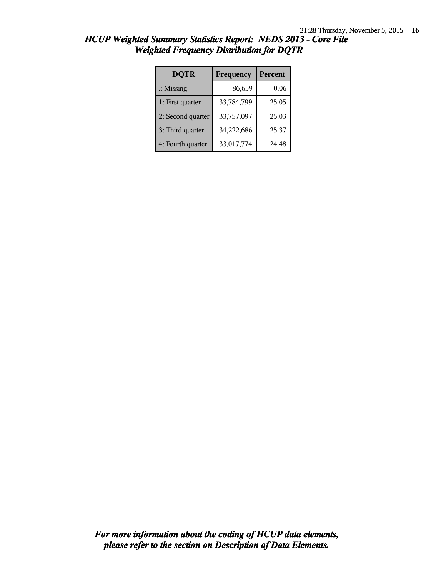| <b>DQTR</b>          | Frequency  | Percent |
|----------------------|------------|---------|
| $\therefore$ Missing | 86,659     | 0.06    |
| 1: First quarter     | 33,784,799 | 25.05   |
| 2: Second quarter    | 33,757,097 | 25.03   |
| 3: Third quarter     | 34,222,686 | 25.37   |
| 4: Fourth quarter    | 33,017,774 | 24.48   |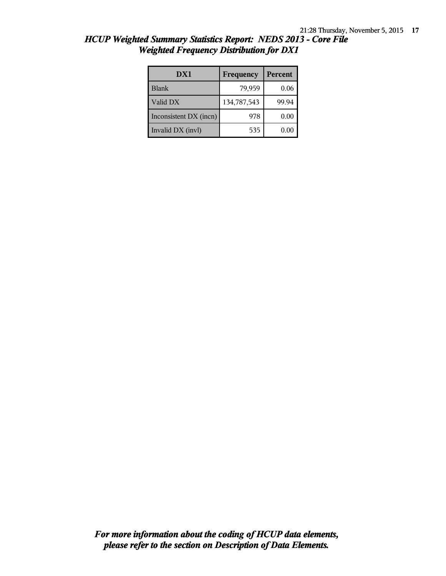| DX1                    | Frequency   | Percent  |
|------------------------|-------------|----------|
| <b>Blank</b>           | 79,959      | 0.06     |
| Valid DX               | 134,787,543 | 99.94    |
| Inconsistent DX (incn) | 978         | 0.00     |
| Invalid DX (invl)      | 535         | $0.00\,$ |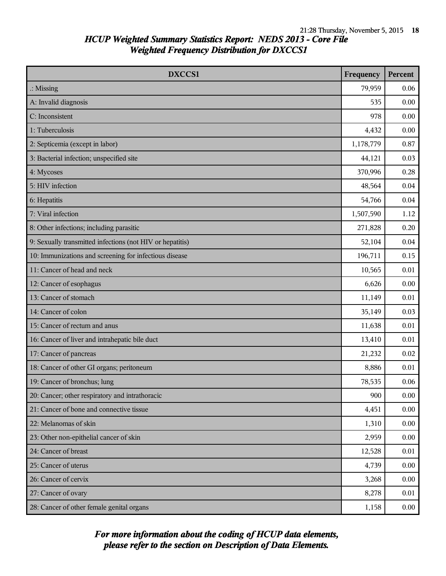| DXCCS1                                                    | Frequency | <b>Percent</b> |
|-----------------------------------------------------------|-----------|----------------|
| $\therefore$ Missing                                      | 79,959    | 0.06           |
| A: Invalid diagnosis                                      | 535       | 0.00           |
| C: Inconsistent                                           | 978       | 0.00           |
| 1: Tuberculosis                                           | 4,432     | 0.00           |
| 2: Septicemia (except in labor)                           | 1,178,779 | 0.87           |
| 3: Bacterial infection; unspecified site                  | 44,121    | 0.03           |
| 4: Mycoses                                                | 370,996   | 0.28           |
| 5: HIV infection                                          | 48,564    | 0.04           |
| 6: Hepatitis                                              | 54,766    | 0.04           |
| 7: Viral infection                                        | 1,507,590 | 1.12           |
| 8: Other infections; including parasitic                  | 271,828   | 0.20           |
| 9: Sexually transmitted infections (not HIV or hepatitis) | 52,104    | 0.04           |
| 10: Immunizations and screening for infectious disease    | 196,711   | 0.15           |
| 11: Cancer of head and neck                               | 10,565    | 0.01           |
| 12: Cancer of esophagus                                   | 6,626     | 0.00           |
| 13: Cancer of stomach                                     | 11,149    | 0.01           |
| 14: Cancer of colon                                       | 35,149    | 0.03           |
| 15: Cancer of rectum and anus                             | 11,638    | 0.01           |
| 16: Cancer of liver and intrahepatic bile duct            | 13,410    | 0.01           |
| 17: Cancer of pancreas                                    | 21,232    | 0.02           |
| 18: Cancer of other GI organs; peritoneum                 | 8,886     | 0.01           |
| 19: Cancer of bronchus; lung                              | 78,535    | 0.06           |
| 20: Cancer; other respiratory and intrathoracic           | 900       | 0.00           |
| 21: Cancer of bone and connective tissue                  | 4,451     | 0.00           |
| 22: Melanomas of skin                                     | 1,310     | 0.00           |
| 23: Other non-epithelial cancer of skin                   | 2,959     | 0.00           |
| 24: Cancer of breast                                      | 12,528    | 0.01           |
| 25: Cancer of uterus                                      | 4,739     | 0.00           |
| 26: Cancer of cervix                                      | 3,268     | 0.00           |
| 27: Cancer of ovary                                       | 8,278     | 0.01           |
| 28: Cancer of other female genital organs                 | 1,158     | 0.00           |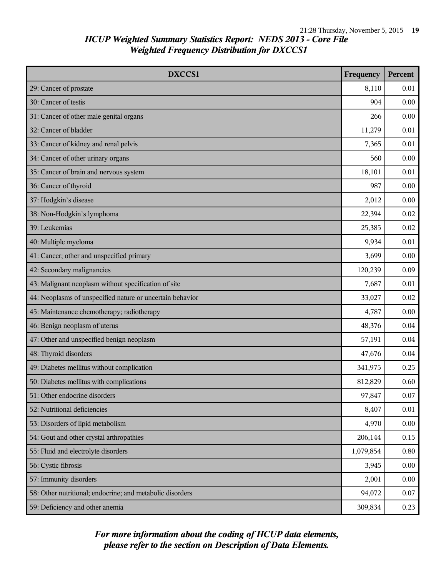| DXCCS1                                                    | Frequency | <b>Percent</b> |
|-----------------------------------------------------------|-----------|----------------|
| 29: Cancer of prostate                                    | 8,110     | 0.01           |
| 30: Cancer of testis                                      | 904       | 0.00           |
| 31: Cancer of other male genital organs                   | 266       | 0.00           |
| 32: Cancer of bladder                                     | 11,279    | 0.01           |
| 33: Cancer of kidney and renal pelvis                     | 7,365     | 0.01           |
| 34: Cancer of other urinary organs                        | 560       | 0.00           |
| 35: Cancer of brain and nervous system                    | 18,101    | 0.01           |
| 36: Cancer of thyroid                                     | 987       | 0.00           |
| 37: Hodgkin's disease                                     | 2,012     | 0.00           |
| 38: Non-Hodgkin's lymphoma                                | 22,394    | 0.02           |
| 39: Leukemias                                             | 25,385    | 0.02           |
| 40: Multiple myeloma                                      | 9,934     | 0.01           |
| 41: Cancer; other and unspecified primary                 | 3,699     | 0.00           |
| 42: Secondary malignancies                                | 120,239   | 0.09           |
| 43: Malignant neoplasm without specification of site      | 7,687     | 0.01           |
| 44: Neoplasms of unspecified nature or uncertain behavior | 33,027    | 0.02           |
| 45: Maintenance chemotherapy; radiotherapy                | 4,787     | 0.00           |
| 46: Benign neoplasm of uterus                             | 48,376    | 0.04           |
| 47: Other and unspecified benign neoplasm                 | 57,191    | 0.04           |
| 48: Thyroid disorders                                     | 47,676    | 0.04           |
| 49: Diabetes mellitus without complication                | 341,975   | 0.25           |
| 50: Diabetes mellitus with complications                  | 812,829   | 0.60           |
| 51: Other endocrine disorders                             | 97,847    | 0.07           |
| 52: Nutritional deficiencies                              | 8,407     | 0.01           |
| 53: Disorders of lipid metabolism                         | 4,970     | 0.00           |
| 54: Gout and other crystal arthropathies                  | 206,144   | 0.15           |
| 55: Fluid and electrolyte disorders                       | 1,079,854 | 0.80           |
| 56: Cystic fibrosis                                       | 3,945     | 0.00           |
| 57: Immunity disorders                                    | 2,001     | 0.00           |
| 58: Other nutritional; endocrine; and metabolic disorders | 94,072    | 0.07           |
| 59: Deficiency and other anemia                           | 309,834   | 0.23           |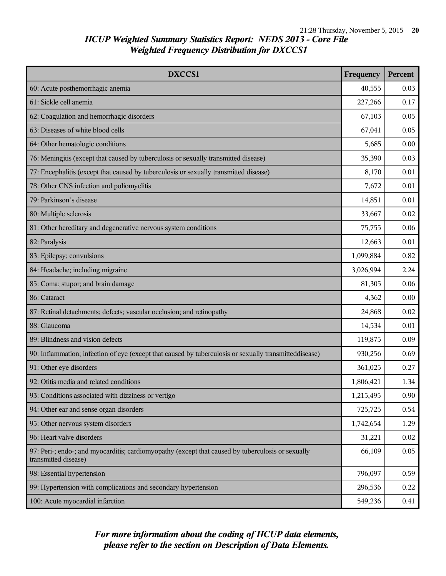| DXCCS1                                                                                                                    | Frequency | Percent |
|---------------------------------------------------------------------------------------------------------------------------|-----------|---------|
| 60: Acute posthemorrhagic anemia                                                                                          | 40,555    | 0.03    |
| 61: Sickle cell anemia                                                                                                    | 227,266   | 0.17    |
| 62: Coagulation and hemorrhagic disorders                                                                                 | 67,103    | 0.05    |
| 63: Diseases of white blood cells                                                                                         | 67,041    | 0.05    |
| 64: Other hematologic conditions                                                                                          | 5,685     | 0.00    |
| 76: Meningitis (except that caused by tuberculosis or sexually transmitted disease)                                       | 35,390    | 0.03    |
| 77: Encephalitis (except that caused by tuberculosis or sexually transmitted disease)                                     | 8,170     | 0.01    |
| 78: Other CNS infection and poliomyelitis                                                                                 | 7,672     | 0.01    |
| 79: Parkinson's disease                                                                                                   | 14,851    | 0.01    |
| 80: Multiple sclerosis                                                                                                    | 33,667    | 0.02    |
| 81: Other hereditary and degenerative nervous system conditions                                                           | 75,755    | 0.06    |
| 82: Paralysis                                                                                                             | 12,663    | 0.01    |
| 83: Epilepsy; convulsions                                                                                                 | 1,099,884 | 0.82    |
| 84: Headache; including migraine                                                                                          | 3,026,994 | 2.24    |
| 85: Coma; stupor; and brain damage                                                                                        | 81,305    | 0.06    |
| 86: Cataract                                                                                                              | 4,362     | 0.00    |
| 87: Retinal detachments; defects; vascular occlusion; and retinopathy                                                     | 24,868    | 0.02    |
| 88: Glaucoma                                                                                                              | 14,534    | 0.01    |
| 89: Blindness and vision defects                                                                                          | 119,875   | 0.09    |
| 90: Inflammation; infection of eye (except that caused by tuberculosis or sexually transmitteddisease)                    | 930,256   | 0.69    |
| 91: Other eye disorders                                                                                                   | 361,025   | 0.27    |
| 92: Otitis media and related conditions                                                                                   | 1,806,421 | 1.34    |
| 93: Conditions associated with dizziness or vertigo                                                                       | 1,215,495 | 0.90    |
| 94: Other ear and sense organ disorders                                                                                   | 725,725   | 0.54    |
| 95: Other nervous system disorders                                                                                        | 1,742,654 | 1.29    |
| 96: Heart valve disorders                                                                                                 | 31,221    | 0.02    |
| 97: Peri-; endo-; and myocarditis; cardiomyopathy (except that caused by tuberculosis or sexually<br>transmitted disease) | 66,109    | 0.05    |
| 98: Essential hypertension                                                                                                | 796,097   | 0.59    |
| 99: Hypertension with complications and secondary hypertension                                                            | 296,536   | 0.22    |
| 100: Acute myocardial infarction                                                                                          | 549,236   | 0.41    |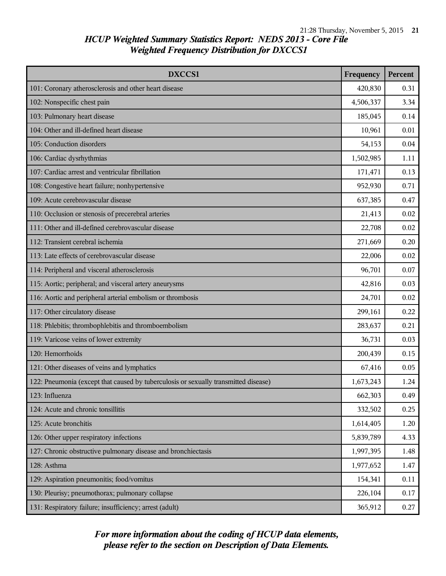| DXCCS1                                                                              | Frequency | Percent |
|-------------------------------------------------------------------------------------|-----------|---------|
| 101: Coronary atherosclerosis and other heart disease                               | 420,830   | 0.31    |
| 102: Nonspecific chest pain                                                         | 4,506,337 | 3.34    |
| 103: Pulmonary heart disease                                                        | 185,045   | 0.14    |
| 104: Other and ill-defined heart disease                                            | 10,961    | 0.01    |
| 105: Conduction disorders                                                           | 54,153    | 0.04    |
| 106: Cardiac dysrhythmias                                                           | 1,502,985 | 1.11    |
| 107: Cardiac arrest and ventricular fibrillation                                    | 171,471   | 0.13    |
| 108: Congestive heart failure; nonhypertensive                                      | 952,930   | 0.71    |
| 109: Acute cerebrovascular disease                                                  | 637,385   | 0.47    |
| 110: Occlusion or stenosis of precerebral arteries                                  | 21,413    | 0.02    |
| 111: Other and ill-defined cerebrovascular disease                                  | 22,708    | 0.02    |
| 112: Transient cerebral ischemia                                                    | 271,669   | 0.20    |
| 113: Late effects of cerebrovascular disease                                        | 22,006    | 0.02    |
| 114: Peripheral and visceral atherosclerosis                                        | 96,701    | 0.07    |
| 115: Aortic; peripheral; and visceral artery aneurysms                              | 42,816    | 0.03    |
| 116: Aortic and peripheral arterial embolism or thrombosis                          | 24,701    | 0.02    |
| 117: Other circulatory disease                                                      | 299,161   | 0.22    |
| 118: Phlebitis; thrombophlebitis and thromboembolism                                | 283,637   | 0.21    |
| 119: Varicose veins of lower extremity                                              | 36,731    | 0.03    |
| 120: Hemorrhoids                                                                    | 200,439   | 0.15    |
| 121: Other diseases of veins and lymphatics                                         | 67,416    | 0.05    |
| 122: Pneumonia (except that caused by tuberculosis or sexually transmitted disease) | 1,673,243 | 1.24    |
| 123: Influenza                                                                      | 662,303   | 0.49    |
| 124: Acute and chronic tonsillitis                                                  | 332,502   | 0.25    |
| 125: Acute bronchitis                                                               | 1,614,405 | 1.20    |
| 126: Other upper respiratory infections                                             | 5,839,789 | 4.33    |
| 127: Chronic obstructive pulmonary disease and bronchiectasis                       | 1,997,395 | 1.48    |
| 128: Asthma                                                                         | 1,977,652 | 1.47    |
| 129: Aspiration pneumonitis; food/vomitus                                           | 154,341   | 0.11    |
| 130: Pleurisy; pneumothorax; pulmonary collapse                                     | 226,104   | 0.17    |
| 131: Respiratory failure; insufficiency; arrest (adult)                             | 365,912   | 0.27    |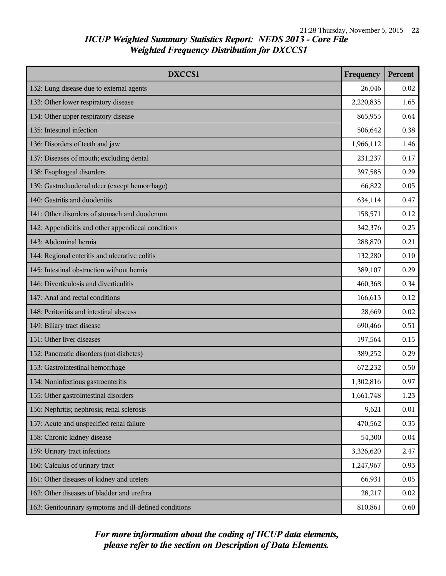| <b>DXCCS1</b>                                          | Frequency | <b>Percent</b> |
|--------------------------------------------------------|-----------|----------------|
| 132: Lung disease due to external agents               | 26,046    | 0.02           |
| 133: Other lower respiratory disease                   | 2,220,835 | 1.65           |
| 134: Other upper respiratory disease                   | 865,955   | 0.64           |
| 135: Intestinal infection                              | 506,642   | 0.38           |
| 136: Disorders of teeth and jaw                        | 1,966,112 | 1.46           |
| 137: Diseases of mouth; excluding dental               | 231,237   | 0.17           |
| 138: Esophageal disorders                              | 397,585   | 0.29           |
| 139: Gastroduodenal ulcer (except hemorrhage)          | 66,822    | 0.05           |
| 140: Gastritis and duodenitis                          | 634,114   | 0.47           |
| 141: Other disorders of stomach and duodenum           | 158,571   | 0.12           |
| 142: Appendicitis and other appendiceal conditions     | 342,376   | 0.25           |
| 143: Abdominal hernia                                  | 288,870   | 0.21           |
| 144: Regional enteritis and ulcerative colitis         | 132,280   | 0.10           |
| 145: Intestinal obstruction without hernia             | 389,107   | 0.29           |
| 146: Diverticulosis and diverticulitis                 | 460,368   | 0.34           |
| 147: Anal and rectal conditions                        | 166,613   | 0.12           |
| 148: Peritonitis and intestinal abscess                | 28,669    | 0.02           |
| 149: Biliary tract disease                             | 690,466   | 0.51           |
| 151: Other liver diseases                              | 197,564   | 0.15           |
| 152: Pancreatic disorders (not diabetes)               | 389,252   | 0.29           |
| 153: Gastrointestinal hemorrhage                       | 672,232   | 0.50           |
| 154: Noninfectious gastroenteritis                     | 1,302,816 | 0.97           |
| 155: Other gastrointestinal disorders                  | 1,661,748 | 1.23           |
| 156: Nephritis; nephrosis; renal sclerosis             | 9,621     | 0.01           |
| 157: Acute and unspecified renal failure               | 470,562   | 0.35           |
| 158: Chronic kidney disease                            | 54,300    | 0.04           |
| 159: Urinary tract infections                          | 3,326,620 | 2.47           |
| 160: Calculus of urinary tract                         | 1,247,967 | 0.93           |
| 161: Other diseases of kidney and ureters              | 66,931    | 0.05           |
| 162: Other diseases of bladder and urethra             | 28,217    | 0.02           |
| 163: Genitourinary symptoms and ill-defined conditions | 810,861   | 0.60           |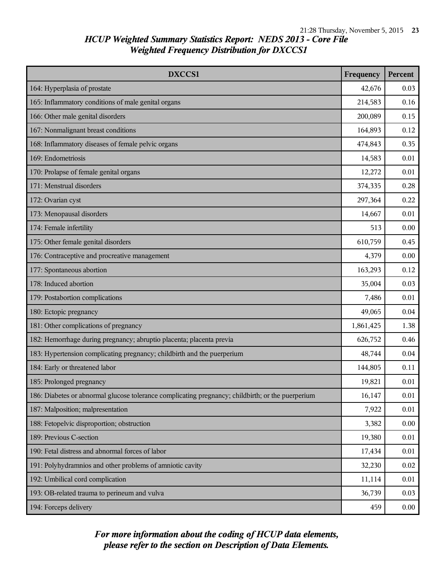| DXCCS1                                                                                            | Frequency | Percent |
|---------------------------------------------------------------------------------------------------|-----------|---------|
| 164: Hyperplasia of prostate                                                                      | 42,676    | 0.03    |
| 165: Inflammatory conditions of male genital organs                                               | 214,583   | 0.16    |
| 166: Other male genital disorders                                                                 | 200,089   | 0.15    |
| 167: Nonmalignant breast conditions                                                               | 164,893   | 0.12    |
| 168: Inflammatory diseases of female pelvic organs                                                | 474,843   | 0.35    |
| 169: Endometriosis                                                                                | 14,583    | 0.01    |
| 170: Prolapse of female genital organs                                                            | 12,272    | 0.01    |
| 171: Menstrual disorders                                                                          | 374,335   | 0.28    |
| 172: Ovarian cyst                                                                                 | 297,364   | 0.22    |
| 173: Menopausal disorders                                                                         | 14,667    | 0.01    |
| 174: Female infertility                                                                           | 513       | 0.00    |
| 175: Other female genital disorders                                                               | 610,759   | 0.45    |
| 176: Contraceptive and procreative management                                                     | 4,379     | 0.00    |
| 177: Spontaneous abortion                                                                         | 163,293   | 0.12    |
| 178: Induced abortion                                                                             | 35,004    | 0.03    |
| 179: Postabortion complications                                                                   | 7,486     | 0.01    |
| 180: Ectopic pregnancy                                                                            | 49,065    | 0.04    |
| 181: Other complications of pregnancy                                                             | 1,861,425 | 1.38    |
| 182: Hemorrhage during pregnancy; abruptio placenta; placenta previa                              | 626,752   | 0.46    |
| 183: Hypertension complicating pregnancy; childbirth and the puerperium                           | 48,744    | 0.04    |
| 184: Early or threatened labor                                                                    | 144,805   | 0.11    |
| 185: Prolonged pregnancy                                                                          | 19,821    | 0.01    |
| 186: Diabetes or abnormal glucose tolerance complicating pregnancy; childbirth; or the puerperium | 16,147    | 0.01    |
| 187: Malposition; malpresentation                                                                 | 7,922     | 0.01    |
| 188: Fetopelvic disproportion; obstruction                                                        | 3,382     | 0.00    |
| 189: Previous C-section                                                                           | 19,380    | 0.01    |
| 190: Fetal distress and abnormal forces of labor                                                  | 17,434    | 0.01    |
| 191: Polyhydramnios and other problems of amniotic cavity                                         | 32,230    | 0.02    |
| 192: Umbilical cord complication                                                                  | 11,114    | 0.01    |
| 193: OB-related trauma to perineum and vulva                                                      | 36,739    | 0.03    |
| 194: Forceps delivery                                                                             | 459       | 0.00    |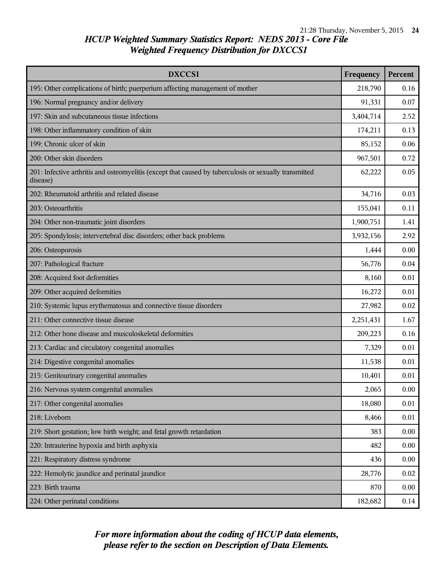| <b>DXCCS1</b>                                                                                                      | Frequency | Percent |
|--------------------------------------------------------------------------------------------------------------------|-----------|---------|
| 195: Other complications of birth; puerperium affecting management of mother                                       | 218,790   | 0.16    |
| 196: Normal pregnancy and/or delivery                                                                              | 91,331    | 0.07    |
| 197: Skin and subcutaneous tissue infections                                                                       | 3,404,714 | 2.52    |
| 198: Other inflammatory condition of skin                                                                          | 174,211   | 0.13    |
| 199: Chronic ulcer of skin                                                                                         | 85,152    | 0.06    |
| 200: Other skin disorders                                                                                          | 967,501   | 0.72    |
| 201: Infective arthritis and osteomyelitis (except that caused by tuberculosis or sexually transmitted<br>disease) | 62,222    | 0.05    |
| 202: Rheumatoid arthritis and related disease                                                                      | 34,716    | 0.03    |
| 203: Osteoarthritis                                                                                                | 155,041   | 0.11    |
| 204: Other non-traumatic joint disorders                                                                           | 1,900,751 | 1.41    |
| 205: Spondylosis; intervertebral disc disorders; other back problems                                               | 3,932,156 | 2.92    |
| 206: Osteoporosis                                                                                                  | 1,444     | 0.00    |
| 207: Pathological fracture                                                                                         | 56,776    | 0.04    |
| 208: Acquired foot deformities                                                                                     | 8,160     | 0.01    |
| 209: Other acquired deformities                                                                                    | 16,272    | 0.01    |
| 210: Systemic lupus erythematosus and connective tissue disorders                                                  | 27,982    | 0.02    |
| 211: Other connective tissue disease                                                                               | 2,251,431 | 1.67    |
| 212: Other bone disease and musculoskeletal deformities                                                            | 209,223   | 0.16    |
| 213: Cardiac and circulatory congenital anomalies                                                                  | 7,329     | 0.01    |
| 214: Digestive congenital anomalies                                                                                | 11,538    | 0.01    |
| 215: Genitourinary congenital anomalies                                                                            | 10,401    | 0.01    |
| 216: Nervous system congenital anomalies                                                                           | 2,065     | 0.00    |
| 217: Other congenital anomalies                                                                                    | 18,080    | 0.01    |
| 218: Liveborn                                                                                                      | 8,466     | 0.01    |
| 219: Short gestation; low birth weight; and fetal growth retardation                                               | 383       | 0.00    |
| 220: Intrauterine hypoxia and birth asphyxia                                                                       | 482       | 0.00    |
| 221: Respiratory distress syndrome                                                                                 | 436       | 0.00    |
| 222: Hemolytic jaundice and perinatal jaundice                                                                     | 28,776    | 0.02    |
| 223: Birth trauma                                                                                                  | 870       | 0.00    |
| 224: Other perinatal conditions                                                                                    | 182,682   | 0.14    |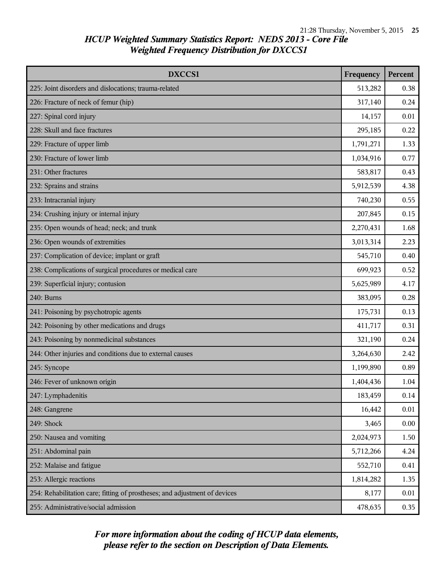| DXCCS1                                                                     | Frequency | Percent |
|----------------------------------------------------------------------------|-----------|---------|
| 225: Joint disorders and dislocations; trauma-related                      | 513,282   | 0.38    |
| 226: Fracture of neck of femur (hip)                                       | 317,140   | 0.24    |
| 227: Spinal cord injury                                                    | 14,157    | 0.01    |
| 228: Skull and face fractures                                              | 295,185   | 0.22    |
| 229: Fracture of upper limb                                                | 1,791,271 | 1.33    |
| 230: Fracture of lower limb                                                | 1,034,916 | 0.77    |
| 231: Other fractures                                                       | 583,817   | 0.43    |
| 232: Sprains and strains                                                   | 5,912,539 | 4.38    |
| 233: Intracranial injury                                                   | 740,230   | 0.55    |
| 234: Crushing injury or internal injury                                    | 207,845   | 0.15    |
| 235: Open wounds of head; neck; and trunk                                  | 2,270,431 | 1.68    |
| 236: Open wounds of extremities                                            | 3,013,314 | 2.23    |
| 237: Complication of device; implant or graft                              | 545,710   | 0.40    |
| 238: Complications of surgical procedures or medical care                  | 699,923   | 0.52    |
| 239: Superficial injury; contusion                                         | 5,625,989 | 4.17    |
| 240: Burns                                                                 | 383,095   | 0.28    |
| 241: Poisoning by psychotropic agents                                      | 175,731   | 0.13    |
| 242: Poisoning by other medications and drugs                              | 411,717   | 0.31    |
| 243: Poisoning by nonmedicinal substances                                  | 321,190   | 0.24    |
| 244: Other injuries and conditions due to external causes                  | 3,264,630 | 2.42    |
| 245: Syncope                                                               | 1,199,890 | 0.89    |
| 246: Fever of unknown origin                                               | 1,404,436 | 1.04    |
| 247: Lymphadenitis                                                         | 183,459   | 0.14    |
| 248: Gangrene                                                              | 16,442    | 0.01    |
| 249: Shock                                                                 | 3,465     | 0.00    |
| 250: Nausea and vomiting                                                   | 2,024,973 | 1.50    |
| 251: Abdominal pain                                                        | 5,712,266 | 4.24    |
| 252: Malaise and fatigue                                                   | 552,710   | 0.41    |
| 253: Allergic reactions                                                    | 1,814,282 | 1.35    |
| 254: Rehabilitation care; fitting of prostheses; and adjustment of devices | 8,177     | 0.01    |
| 255: Administrative/social admission                                       | 478,635   | 0.35    |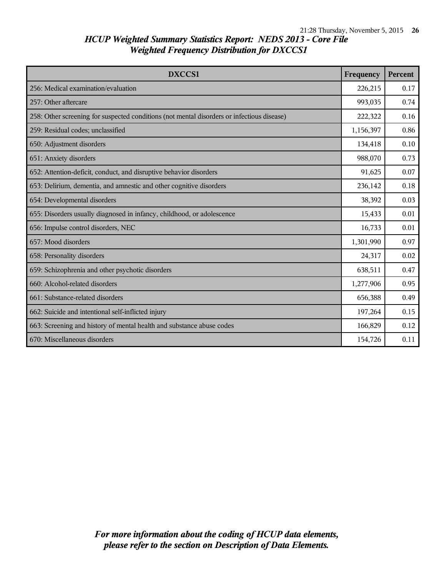| <b>DXCCS1</b>                                                                              | Frequency | Percent |
|--------------------------------------------------------------------------------------------|-----------|---------|
| 256: Medical examination/evaluation                                                        | 226,215   | 0.17    |
| 257: Other aftercare                                                                       | 993,035   | 0.74    |
| 258: Other screening for suspected conditions (not mental disorders or infectious disease) | 222,322   | 0.16    |
| 259: Residual codes; unclassified                                                          | 1,156,397 | 0.86    |
| 650: Adjustment disorders                                                                  | 134,418   | 0.10    |
| 651: Anxiety disorders                                                                     | 988,070   | 0.73    |
| 652: Attention-deficit, conduct, and disruptive behavior disorders                         | 91,625    | 0.07    |
| 653: Delirium, dementia, and amnestic and other cognitive disorders                        | 236,142   | 0.18    |
| 654: Developmental disorders                                                               | 38,392    | 0.03    |
| 655: Disorders usually diagnosed in infancy, childhood, or adolescence                     | 15,433    | 0.01    |
| 656: Impulse control disorders, NEC                                                        | 16,733    | 0.01    |
| 657: Mood disorders                                                                        | 1,301,990 | 0.97    |
| 658: Personality disorders                                                                 | 24,317    | 0.02    |
| 659: Schizophrenia and other psychotic disorders                                           | 638,511   | 0.47    |
| 660: Alcohol-related disorders                                                             | 1,277,906 | 0.95    |
| 661: Substance-related disorders                                                           | 656,388   | 0.49    |
| 662: Suicide and intentional self-inflicted injury                                         | 197,264   | 0.15    |
| 663: Screening and history of mental health and substance abuse codes                      | 166,829   | 0.12    |
| 670: Miscellaneous disorders                                                               | 154,726   | 0.11    |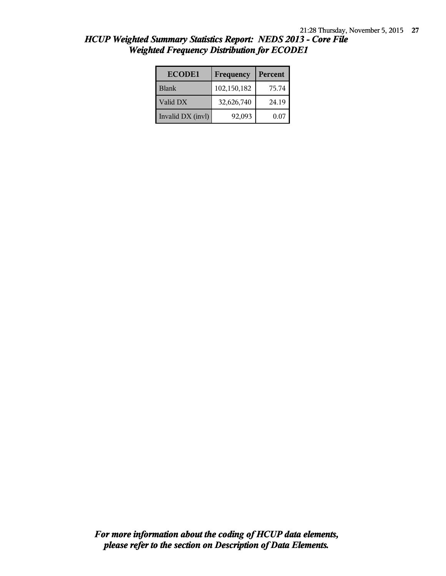| <b>ECODE1</b>     | Frequency   | Percent |
|-------------------|-------------|---------|
| <b>Blank</b>      | 102,150,182 | 75.74   |
| Valid DX          | 32,626,740  | 24.19   |
| Invalid DX (invl) | 92,093      | 0.07    |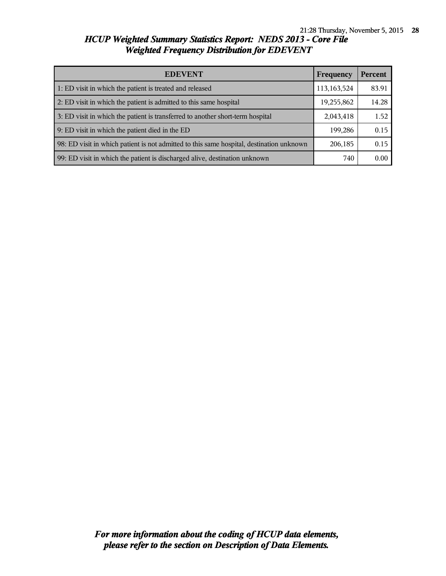| <b>EDEVENT</b><br><b>Frequency</b>                                                       |             | Percent |
|------------------------------------------------------------------------------------------|-------------|---------|
| 1: ED visit in which the patient is treated and released                                 | 113,163,524 | 83.91   |
| 2: ED visit in which the patient is admitted to this same hospital                       | 19,255,862  | 14.28   |
| 3: ED visit in which the patient is transferred to another short-term hospital           |             | 1.52    |
| 9: ED visit in which the patient died in the ED                                          | 199,286     | 0.15    |
| 98: ED visit in which patient is not admitted to this same hospital, destination unknown | 206,185     | 0.15    |
| 99: ED visit in which the patient is discharged alive, destination unknown               | 740         | 0.00    |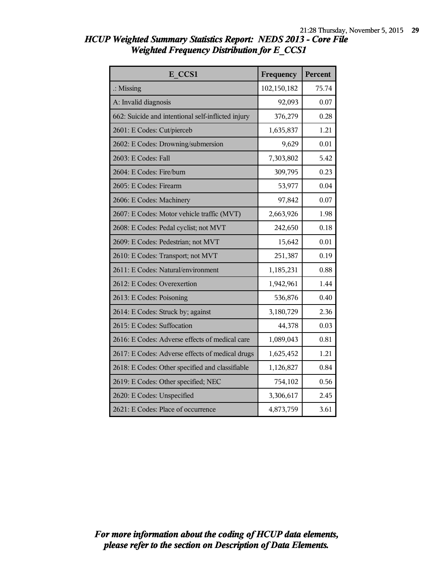| E CCS1                                             | Frequency   | Percent |
|----------------------------------------------------|-------------|---------|
| $\therefore$ Missing                               | 102,150,182 | 75.74   |
| A: Invalid diagnosis                               | 92,093      | 0.07    |
| 662: Suicide and intentional self-inflicted injury | 376,279     | 0.28    |
| 2601: E Codes: Cut/pierceb                         | 1,635,837   | 1.21    |
| 2602: E Codes: Drowning/submersion                 | 9,629       | 0.01    |
| 2603: E Codes: Fall                                | 7,303,802   | 5.42    |
| 2604: E Codes: Fire/burn                           | 309,795     | 0.23    |
| 2605: E Codes: Firearm                             | 53,977      | 0.04    |
| 2606: E Codes: Machinery                           | 97,842      | 0.07    |
| 2607: E Codes: Motor vehicle traffic (MVT)         | 2,663,926   | 1.98    |
| 2608: E Codes: Pedal cyclist; not MVT              | 242,650     | 0.18    |
| 2609: E Codes: Pedestrian; not MVT                 | 15,642      | 0.01    |
| 2610: E Codes: Transport; not MVT                  | 251,387     | 0.19    |
| 2611: E Codes: Natural/environment                 | 1,185,231   | 0.88    |
| 2612: E Codes: Overexertion                        | 1,942,961   | 1.44    |
| 2613: E Codes: Poisoning                           | 536,876     | 0.40    |
| 2614: E Codes: Struck by; against                  | 3,180,729   | 2.36    |
| 2615: E Codes: Suffocation                         | 44,378      | 0.03    |
| 2616: E Codes: Adverse effects of medical care     | 1,089,043   | 0.81    |
| 2617: E Codes: Adverse effects of medical drugs    | 1,625,452   | 1.21    |
| 2618: E Codes: Other specified and classifiable    | 1,126,827   | 0.84    |
| 2619: E Codes: Other specified; NEC                | 754,102     | 0.56    |
| 2620: E Codes: Unspecified                         | 3,306,617   | 2.45    |
| 2621: E Codes: Place of occurrence                 | 4,873,759   | 3.61    |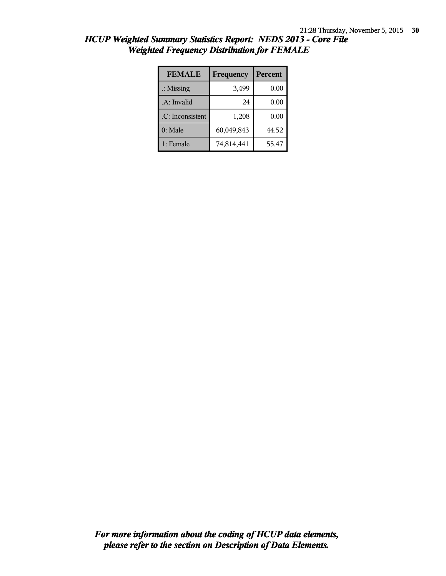| <b>FEMALE</b>        | Frequency  | Percent |
|----------------------|------------|---------|
| $\therefore$ Missing | 3,499      | 0.00    |
| .A: Invalid          | 24         | 0.00    |
| .C: Inconsistent     | 1,208      | 0.00    |
| $0:$ Male            | 60,049,843 | 44.52   |
| 1: Female            | 74,814,441 | 55.47   |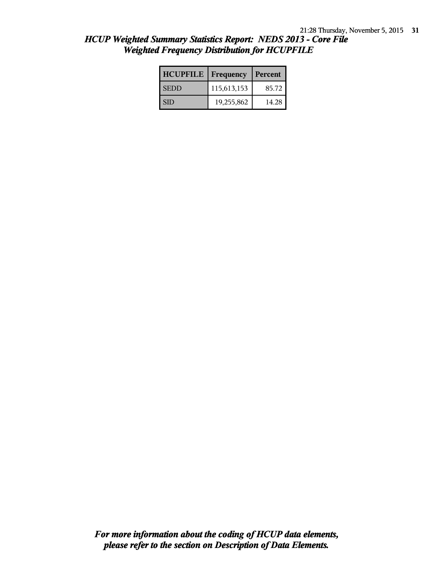| HCUP Weighted Summary Statistics Report: NEDS 2013 - Core File |  |
|----------------------------------------------------------------|--|
| <b>Weighted Frequency Distribution for HCUPFILE</b>            |  |

| <b>HCUPFILE</b> | Frequency   | Percent |
|-----------------|-------------|---------|
| <b>SEDD</b>     | 115,613,153 | 85.72   |
| SID             | 19,255,862  | 14.28   |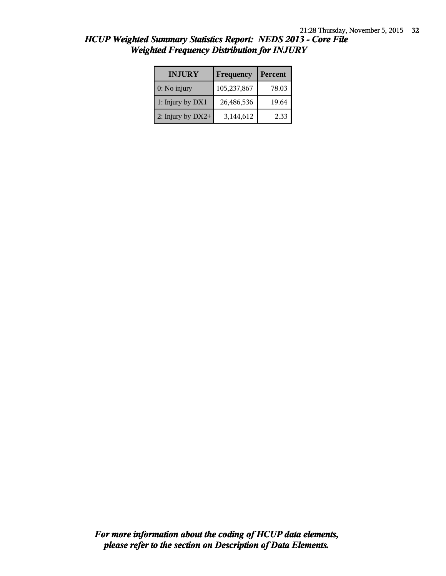| <b>INJURY</b>     | Frequency   | Percent |
|-------------------|-------------|---------|
| 0: No injury      | 105,237,867 | 78.03   |
| 1: Injury by DX1  | 26,486,536  | 19.64   |
| 2: Injury by DX2+ | 3,144,612   | 2.33    |

*HCUP Weighted Summary Statistics Report: NEDS 2013 - Core File Weighted Frequency Distribution for INJURY*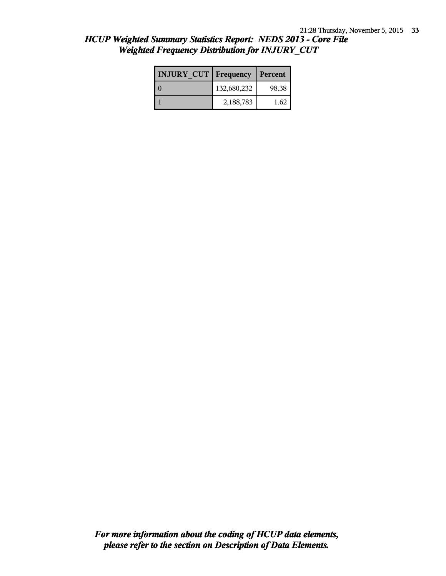| HCUP Weighted Summary Statistics Report: NEDS 2013 - Core File |  |
|----------------------------------------------------------------|--|
| <b>Weighted Frequency Distribution for INJURY CUT</b>          |  |

| <b>INJURY CUT   Frequency</b> |             | Percent |
|-------------------------------|-------------|---------|
|                               | 132,680,232 | 98.38   |
|                               | 2,188,783   | 1.62    |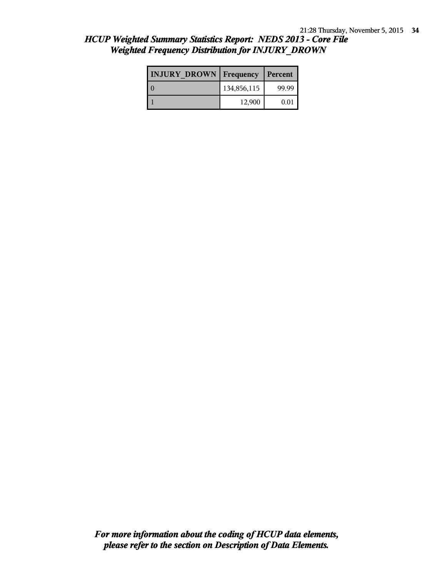| <b>INJURY DROWN Frequency</b> |             | Percent |  |
|-------------------------------|-------------|---------|--|
|                               | 134,856,115 | 99.99   |  |
|                               | 12,900      | 0.01    |  |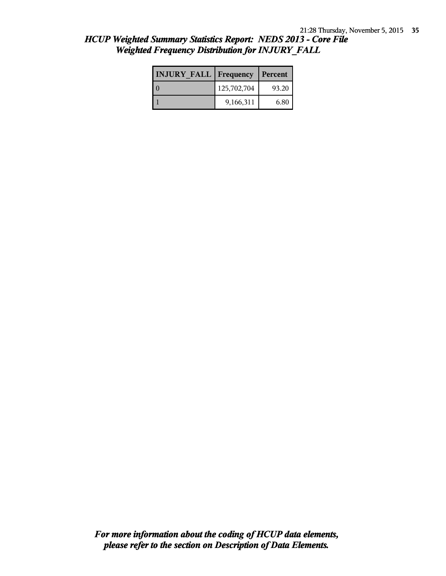|  |                                                        | <b>HCUP Weighted Summary Statistics Report: NEDS 2013 - Core File</b> |  |
|--|--------------------------------------------------------|-----------------------------------------------------------------------|--|
|  | <b>Weighted Frequency Distribution for INJURY FALL</b> |                                                                       |  |

| <b>INJURY FALL Frequency</b> |             | Percent |  |
|------------------------------|-------------|---------|--|
|                              | 125,702,704 | 93.20   |  |
|                              | 9,166,311   | 6.80    |  |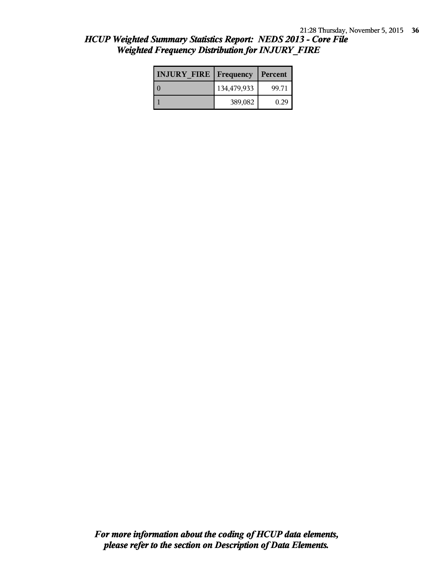| <b>INJURY FIRE   Frequency</b> |             | Percent |  |
|--------------------------------|-------------|---------|--|
|                                | 134,479,933 | 99.71   |  |
|                                | 389,082     | 0.29    |  |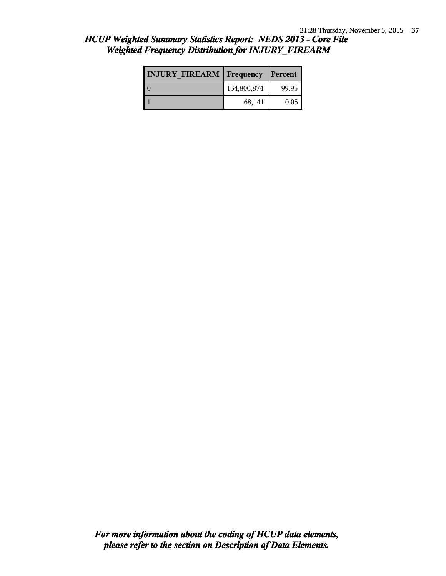| <b>INJURY FIREARM   Frequency</b> |             | Percent |  |
|-----------------------------------|-------------|---------|--|
|                                   | 134,800,874 | 99.95   |  |
|                                   | 68,141      | 0.05    |  |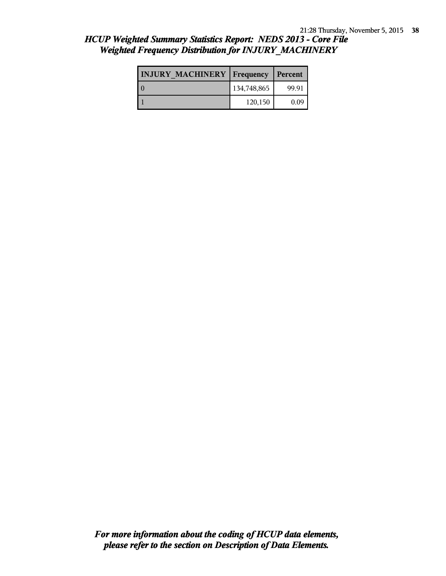|  |  |  | HCUP Weighted Summary Statistics Report: NEDS 2013 - Core File |  |  |
|--|--|--|----------------------------------------------------------------|--|--|
|  |  |  | <b>Weighted Frequency Distribution for INJURY MACHINERY</b>    |  |  |

| <b>INJURY MACHINERY   Frequency</b> |             | Percent |
|-------------------------------------|-------------|---------|
| $\Omega$                            | 134,748,865 | 99.91   |
|                                     | 120,150     | 0.09    |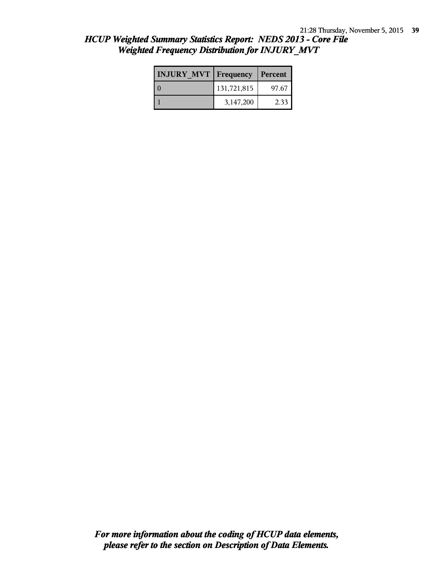| HCUP Weighted Summary Statistics Report: NEDS 2013 - Core File |  |
|----------------------------------------------------------------|--|
| <b>Weighted Frequency Distribution for INJURY MVT</b>          |  |

| <b>INJURY MVT   Frequency</b> |             | Percent |  |
|-------------------------------|-------------|---------|--|
|                               | 131,721,815 | 97.67   |  |
|                               | 3,147,200   | 2.33    |  |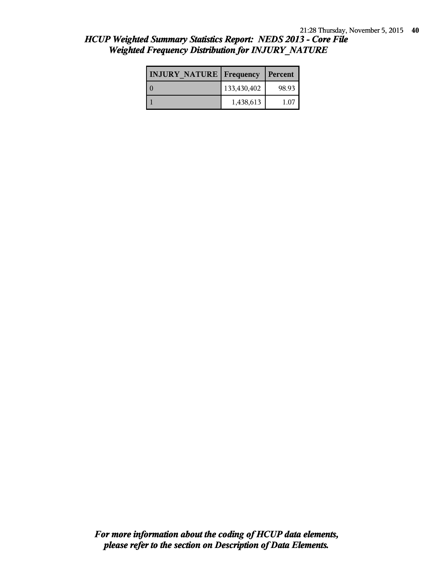| <b>INJURY NATURE Frequency</b> |             | Percent |  |
|--------------------------------|-------------|---------|--|
|                                | 133,430,402 | 98.93   |  |
|                                | 1,438,613   | 1.07    |  |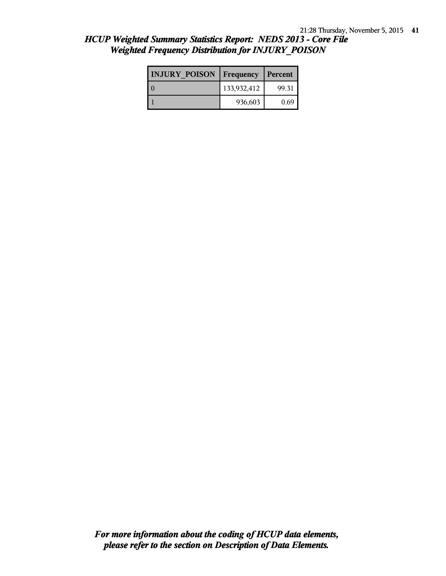| <b>INJURY POISON</b> | Frequency   | Percent |
|----------------------|-------------|---------|
|                      | 133,932,412 | 99.31   |
|                      | 936,603     | 0.69    |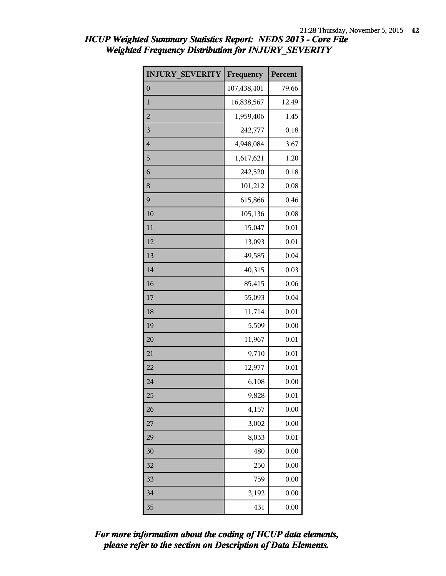| <b>INJURY SEVERITY</b> | Frequency   | Percent  |
|------------------------|-------------|----------|
| $\boldsymbol{0}$       | 107,438,401 | 79.66    |
| $\mathbf{1}$           | 16,838,567  | 12.49    |
| $\overline{2}$         | 1,959,406   | 1.45     |
| $\overline{3}$         | 242,777     | 0.18     |
| $\overline{4}$         | 4,948,084   | 3.67     |
| 5                      | 1,617,621   | 1.20     |
| 6                      | 242,520     | 0.18     |
| 8                      | 101,212     | 0.08     |
| 9                      | 615,866     | 0.46     |
| 10                     | 105,136     | 0.08     |
| 11                     | 15,047      | 0.01     |
| 12                     | 13,093      | 0.01     |
| 13                     | 49,585      | 0.04     |
| 14                     | 40,315      | 0.03     |
| 16                     | 85,415      | 0.06     |
| 17                     | 55,093      | 0.04     |
| 18                     | 11,714      | 0.01     |
| 19                     | 5,509       | 0.00     |
| 20                     | 11,967      | 0.01     |
| 21                     | 9,710       | 0.01     |
| 22                     | 12,977      | $0.01\,$ |
| 24                     | 6,108       | 0.00     |
| 25                     | 9,828       | 0.01     |
| 26                     | 4,157       | 0.00     |
| 27                     | 3,002       | 0.00     |
| 29                     | 8,033       | 0.01     |
| 30                     | 480         | 0.00     |
| 32                     | 250         | 0.00     |
| 33                     | 759         | 0.00     |
| 34                     | 3,192       | 0.00     |
| 35                     | 431         | 0.00     |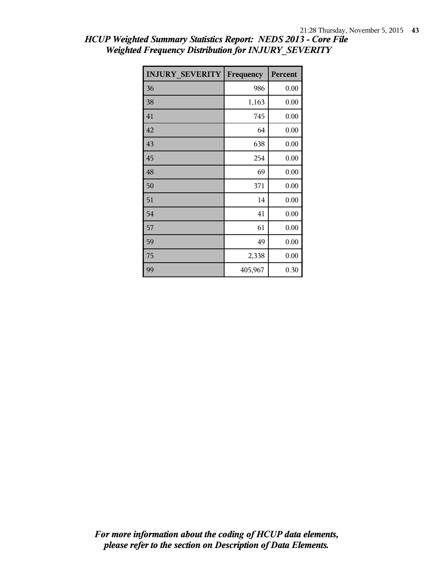| <b>INJURY SEVERITY</b> | Frequency | Percent |
|------------------------|-----------|---------|
| 36                     | 986       | 0.00    |
| 38                     | 1,163     | 0.00    |
| 41                     | 745       | 0.00    |
| 42                     | 64        | 0.00    |
| 43                     | 638       | 0.00    |
| 45                     | 254       | 0.00    |
| 48                     | 69        | 0.00    |
| 50                     | 371       | 0.00    |
| 51                     | 14        | 0.00    |
| 54                     | 41        | 0.00    |
| 57                     | 61        | 0.00    |
| 59                     | 49        | 0.00    |
| 75                     | 2,338     | 0.00    |
| 99                     | 405,967   | 0.30    |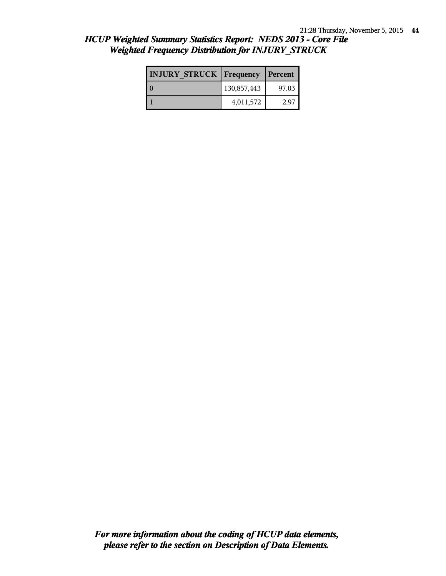| <b>INJURY STRUCK   Frequency</b> |             | Percent |
|----------------------------------|-------------|---------|
|                                  | 130,857,443 | 97.03   |
|                                  | 4,011,572   | 2.97    |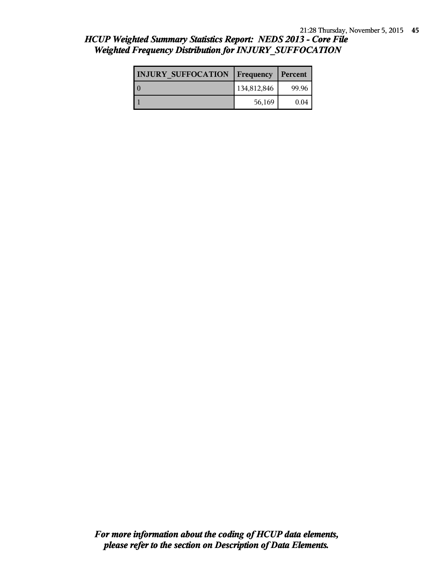| <b>INJURY SUFFOCATION   Frequency</b> |             | Percent |
|---------------------------------------|-------------|---------|
| $\Omega$                              | 134,812,846 | 99.96   |
|                                       | 56,169      | 0.04    |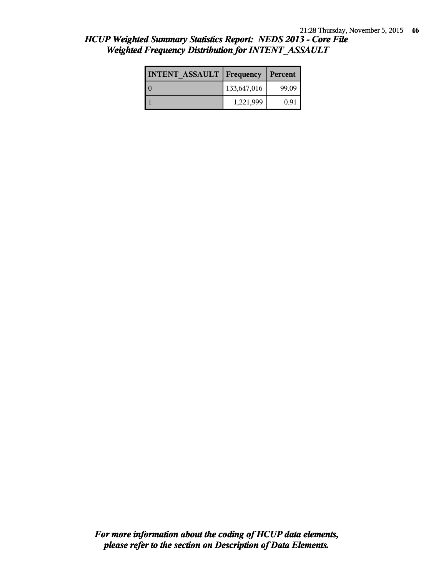| <b>INTENT ASSAULT Frequency</b> |             | Percent |
|---------------------------------|-------------|---------|
|                                 | 133,647,016 | 99.09   |
|                                 | 1,221,999   | 0.91    |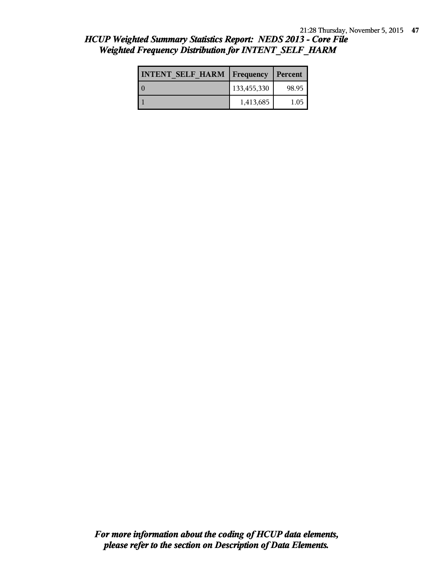| <b>INTENT SELF HARM   Frequency   Percent</b> |             |       |
|-----------------------------------------------|-------------|-------|
|                                               | 133,455,330 | 98.95 |
|                                               | 1,413,685   | 1.05  |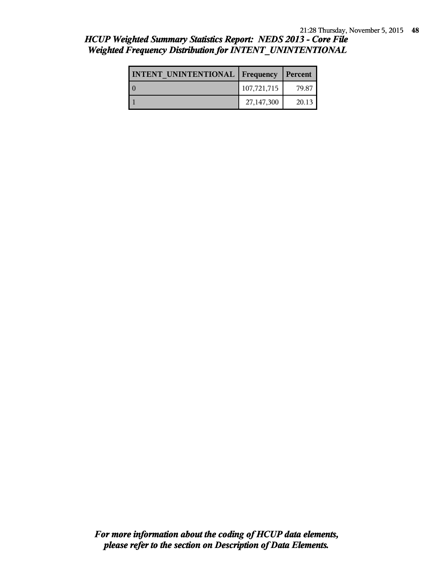## *HCUP Weighted Summary Statistics Report: NEDS 2013 - Core File Weighted Frequency Distribution for INTENT\_UNINTENTIONAL*

| <b>INTENT UNINTENTIONAL Frequency</b> |             | Percent |
|---------------------------------------|-------------|---------|
|                                       | 107,721,715 | 79.87   |
|                                       | 27,147,300  | 20.13   |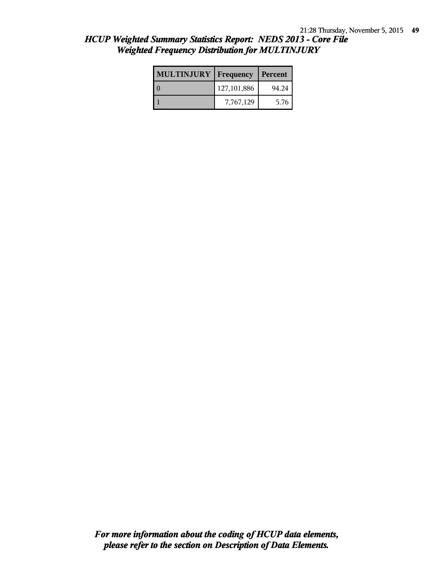| <b>MULTINJURY   Frequency</b> |               | Percent |
|-------------------------------|---------------|---------|
|                               | 127, 101, 886 | 94.24   |
|                               | 7,767,129     | 5.76    |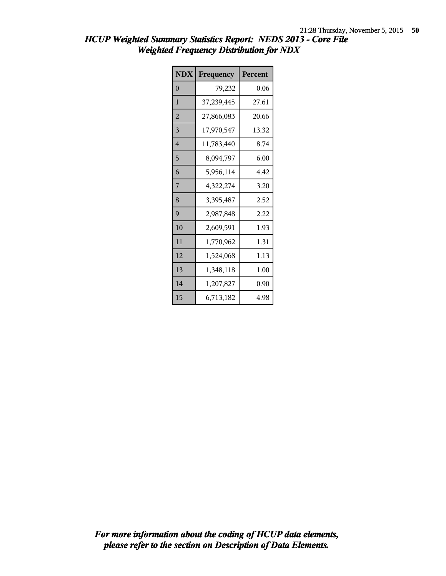| <b>NDX</b>     | Frequency  | Percent |
|----------------|------------|---------|
| $\overline{0}$ | 79,232     | 0.06    |
| 1              | 37,239,445 | 27.61   |
| $\overline{2}$ | 27,866,083 | 20.66   |
| 3              | 17,970,547 | 13.32   |
| $\overline{4}$ | 11,783,440 | 8.74    |
| 5              | 8,094,797  | 6.00    |
| 6              | 5,956,114  | 4.42    |
| 7              | 4,322,274  | 3.20    |
| 8              | 3,395,487  | 2.52    |
| 9              | 2,987,848  | 2.22    |
| 10             | 2,609,591  | 1.93    |
| 11             | 1,770,962  | 1.31    |
| 12             | 1,524,068  | 1.13    |
| 13             | 1,348,118  | 1.00    |
| 14             | 1,207,827  | 0.90    |
| 15             | 6,713,182  | 4.98    |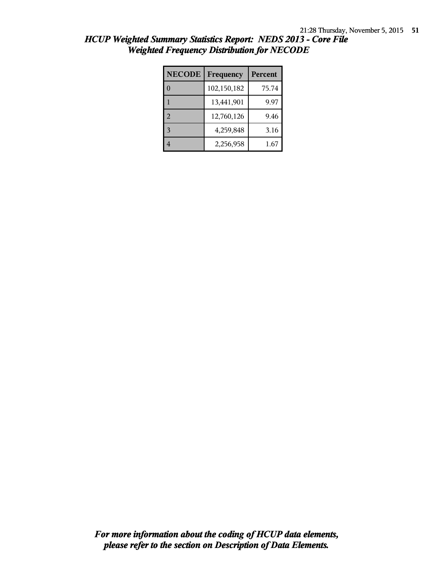| <b>NECODE</b> | Frequency   | Percent |
|---------------|-------------|---------|
|               | 102,150,182 | 75.74   |
|               | 13,441,901  | 9.97    |
| 2             | 12,760,126  | 9.46    |
| $\mathbf{3}$  | 4,259,848   | 3.16    |
|               | 2,256,958   | 1.67    |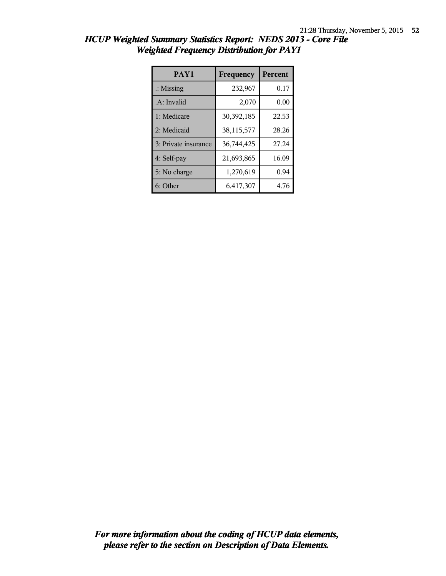| PAY1                 | Frequency  | <b>Percent</b> |
|----------------------|------------|----------------|
| $\therefore$ Missing | 232,967    | 0.17           |
| .A: Invalid          | 2,070      | 0.00           |
| 1: Medicare          | 30,392,185 | 22.53          |
| 2: Medicaid          | 38,115,577 | 28.26          |
| 3: Private insurance | 36,744,425 | 27.24          |
| 4: Self-pay          | 21,693,865 | 16.09          |
| 5: No charge         | 1,270,619  | 0.94           |
| 6: Other             | 6,417,307  | 4.76           |

| HCUP Weighted Summary Statistics Report: NEDS 2013 - Core File |  |
|----------------------------------------------------------------|--|
| <b>Weighted Frequency Distribution for PAY1</b>                |  |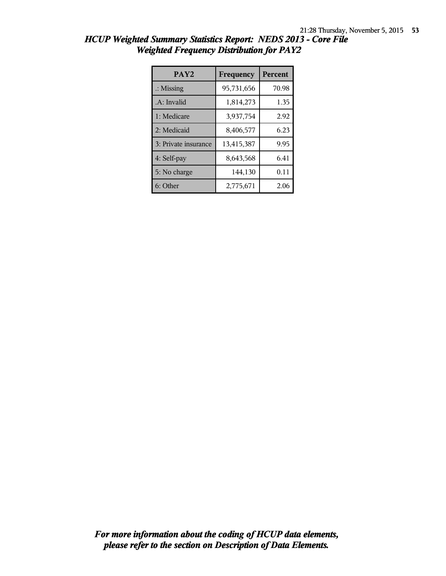| PAY <sub>2</sub>     | Frequency  | <b>Percent</b> |
|----------------------|------------|----------------|
| $\therefore$ Missing | 95,731,656 | 70.98          |
| .A: Invalid          | 1,814,273  | 1.35           |
| 1: Medicare          | 3,937,754  | 2.92           |
| 2: Medicaid          | 8,406,577  | 6.23           |
| 3: Private insurance | 13,415,387 | 9.95           |
| 4: Self-pay          | 8,643,568  | 6.41           |
| 5: No charge         | 144,130    | 0.11           |
| 6: Other             | 2,775,671  | 2.06           |

|                                                 |  |  | HCUP Weighted Summary Statistics Report: NEDS 2013 - Core File |  |  |
|-------------------------------------------------|--|--|----------------------------------------------------------------|--|--|
| <b>Weighted Frequency Distribution for PAY2</b> |  |  |                                                                |  |  |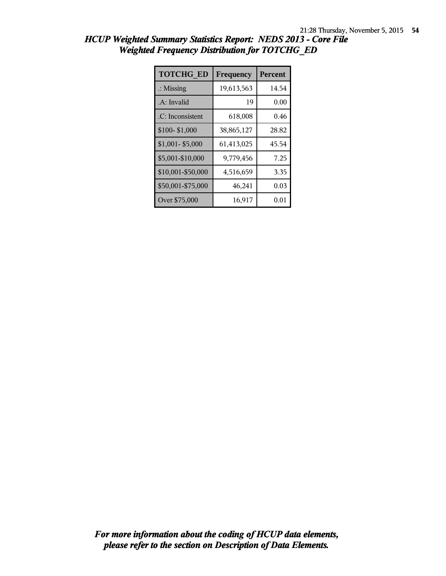| <b>TOTCHG ED</b>     | Frequency  | Percent |
|----------------------|------------|---------|
| $\therefore$ Missing | 19,613,563 | 14.54   |
| .A: Invalid          | 19         | 0.00    |
| .C: Inconsistent     | 618,008    | 0.46    |
| \$100-\$1,000        | 38,865,127 | 28.82   |
| \$1,001-\$5,000      | 61,413,025 | 45.54   |
| \$5,001-\$10,000     | 9,779,456  | 7.25    |
| \$10,001-\$50,000    | 4,516,659  | 3.35    |
| \$50,001-\$75,000    | 46,241     | 0.03    |
| Over \$75,000        | 16,917     | 0.01    |

*HCUP Weighted Summary Statistics Report: NEDS 2013 - Core File Weighted Frequency Distribution for TOTCHG\_ED*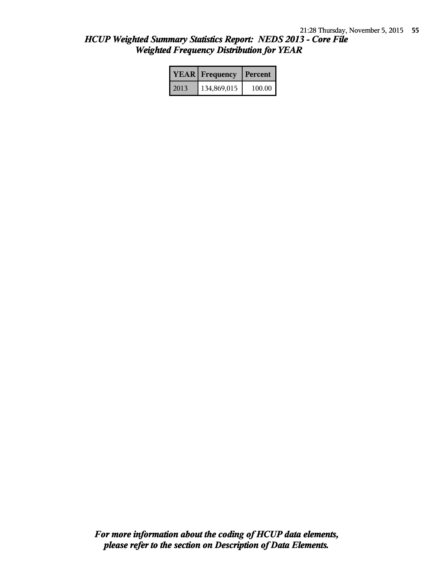|      | <b>YEAR</b> Frequency | Percent |
|------|-----------------------|---------|
| 2013 | 134,869,015           | 100.00  |